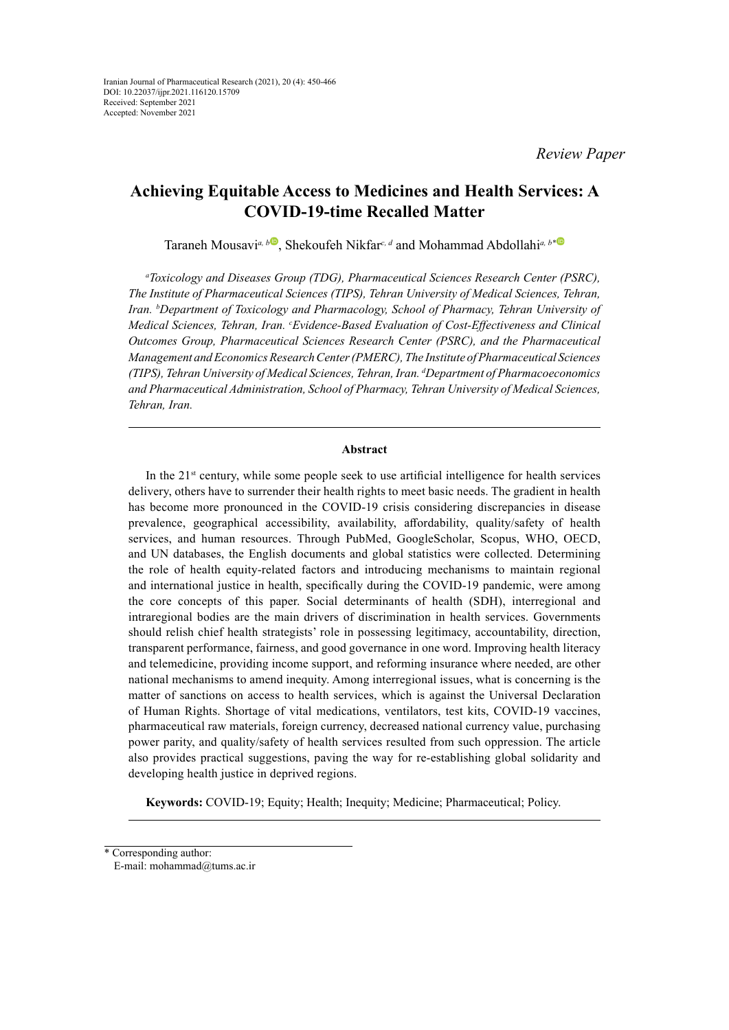*Review Paper*

# **Achieving Equitable Access to Medicines and Health Services: A COVID-19-time Recalled Matter**

Taraneh Mousavi<sup>*a*, *[b](https://orcid.org/0000-0003-1976-6789)*•, Shekoufeh Nikfar<sup>c, *d*</sup> and Mohammad Abdollahi<sup>*a*, *b*••</sup></sup>

*a Toxicology and Diseases Group (TDG), Pharmaceutical Sciences Research Center (PSRC), The Institute of Pharmaceutical Sciences (TIPS), Tehran University of Medical Sciences, Tehran, Iran. b Department of Toxicology and Pharmacology, School of Pharmacy, Tehran University of Medical Sciences, Tehran, Iran. 
<sup>c</sup>Evidence-Based Evaluation of Cost-Effectiveness and Clinical Outcomes Group, Pharmaceutical Sciences Research Center (PSRC), and the Pharmaceutical Management and Economics Research Center (PMERC), The Institute of Pharmaceutical Sciences (TIPS), Tehran University of Medical Sciences, Tehran, Iran. d Department of Pharmacoeconomics and Pharmaceutical Administration, School of Pharmacy, Tehran University of Medical Sciences, Tehran, Iran.*

## **Abstract**

In the  $21<sup>st</sup>$  century, while some people seek to use artificial intelligence for health services delivery, others have to surrender their health rights to meet basic needs. The gradient in health has become more pronounced in the COVID-19 crisis considering discrepancies in disease prevalence, geographical accessibility, availability, affordability, quality/safety of health services, and human resources. Through PubMed, GoogleScholar, Scopus, WHO, OECD, and UN databases, the English documents and global statistics were collected. Determining the role of health equity-related factors and introducing mechanisms to maintain regional and international justice in health, specifically during the COVID-19 pandemic, were among the core concepts of this paper. Social determinants of health (SDH), interregional and intraregional bodies are the main drivers of discrimination in health services. Governments should relish chief health strategists' role in possessing legitimacy, accountability, direction, transparent performance, fairness, and good governance in one word. Improving health literacy and telemedicine, providing income support, and reforming insurance where needed, are other national mechanisms to amend inequity. Among interregional issues, what is concerning is the matter of sanctions on access to health services, which is against the Universal Declaration of Human Rights. Shortage of vital medications, ventilators, test kits, COVID-19 vaccines, pharmaceutical raw materials, foreign currency, decreased national currency value, purchasing power parity, and quality/safety of health services resulted from such oppression. The article also provides practical suggestions, paving the way for re-establishing global solidarity and developing health justice in deprived regions.

**Keywords:** COVID-19; Equity; Health; Inequity; Medicine; Pharmaceutical; Policy.

<sup>\*</sup> Corresponding author:

E-mail: mohammad@tums.ac.ir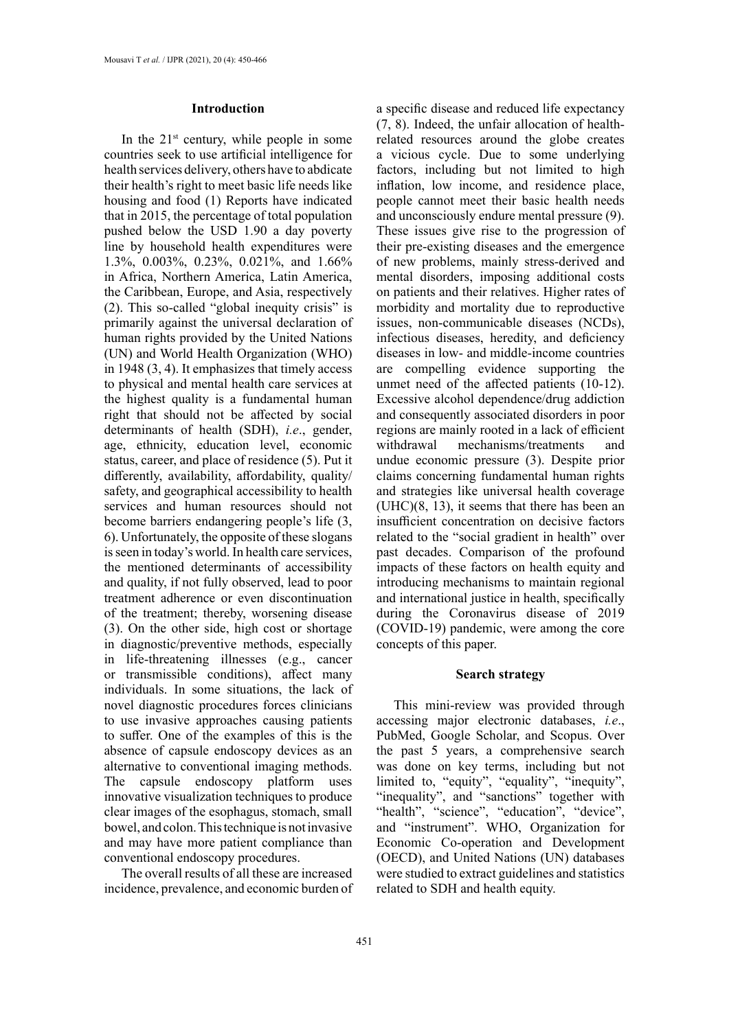#### **Introduction**

In the  $21^{st}$  century, while people in some countries seek to use artificial intelligence for health services delivery, others have to abdicate their health's right to meet basic life needs like housing and food (1) Reports have indicated that in 2015, the percentage of total population pushed below the USD 1.90 a day poverty line by household health expenditures were 1.3%, 0.003%, 0.23%, 0.021%, and 1.66% in Africa, Northern America, Latin America, the Caribbean, Europe, and Asia, respectively (2). This so-called "global inequity crisis" is primarily against the universal declaration of human rights provided by the United Nations (UN) and World Health Organization (WHO) in 1948 (3, 4). It emphasizes that timely access to physical and mental health care services at the highest quality is a fundamental human right that should not be affected by social determinants of health (SDH), *i.e*., gender, age, ethnicity, education level, economic status, career, and place of residence (5). Put it differently, availability, affordability, quality/ safety, and geographical accessibility to health services and human resources should not become barriers endangering people's life (3, 6). Unfortunately, the opposite of these slogans is seen in today's world. In health care services, the mentioned determinants of accessibility and quality, if not fully observed, lead to poor treatment adherence or even discontinuation of the treatment; thereby, worsening disease (3). On the other side, high cost or shortage in diagnostic/preventive methods, especially in life-threatening illnesses (e.g., cancer or transmissible conditions), affect many individuals. In some situations, the lack of novel diagnostic procedures forces clinicians to use invasive approaches causing patients to suffer. One of the examples of this is the absence of capsule endoscopy devices as an alternative to conventional imaging methods. The capsule endoscopy platform uses innovative visualization techniques to produce clear images of the esophagus, stomach, small bowel, and colon. This technique is not invasive and may have more patient compliance than conventional endoscopy procedures.

The overall results of all these are increased incidence, prevalence, and economic burden of

a specific disease and reduced life expectancy (7, 8). Indeed, the unfair allocation of healthrelated resources around the globe creates a vicious cycle. Due to some underlying factors, including but not limited to high inflation, low income, and residence place, people cannot meet their basic health needs and unconsciously endure mental pressure (9). These issues give rise to the progression of their pre-existing diseases and the emergence of new problems, mainly stress-derived and mental disorders, imposing additional costs on patients and their relatives. Higher rates of morbidity and mortality due to reproductive issues, non-communicable diseases (NCDs), infectious diseases, heredity, and deficiency diseases in low- and middle-income countries are compelling evidence supporting the unmet need of the affected patients (10-12). Excessive alcohol dependence/drug addiction and consequently associated disorders in poor regions are mainly rooted in a lack of efficient withdrawal mechanisms/treatments and undue economic pressure (3). Despite prior claims concerning fundamental human rights and strategies like universal health coverage (UHC)(8, 13), it seems that there has been an insufficient concentration on decisive factors related to the "social gradient in health" over past decades. Comparison of the profound impacts of these factors on health equity and introducing mechanisms to maintain regional and international justice in health, specifically during the Coronavirus disease of 2019 (COVID-19) pandemic, were among the core concepts of this paper.

## **Search strategy**

This mini-review was provided through accessing major electronic databases, *i.e*., PubMed, Google Scholar, and Scopus. Over the past 5 years, a comprehensive search was done on key terms, including but not limited to, "equity", "equality", "inequity", "inequality", and "sanctions" together with "health", "science", "education", "device", and "instrument". WHO, Organization for Economic Co-operation and Development (OECD), and United Nations (UN) databases were studied to extract guidelines and statistics related to SDH and health equity.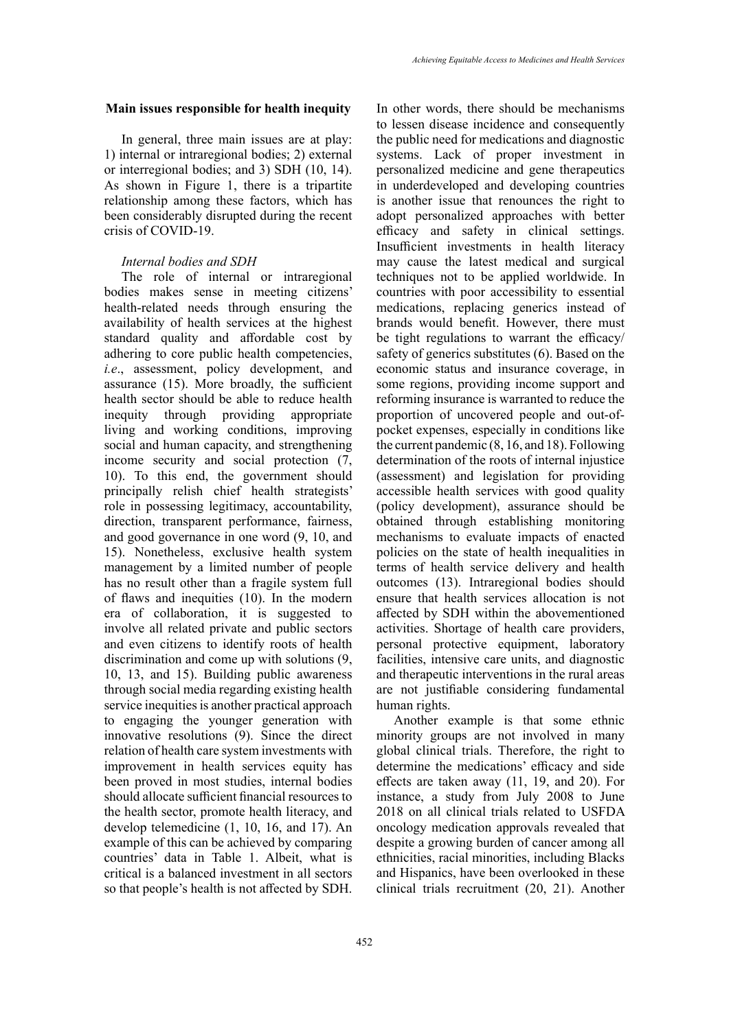#### **Main issues responsible for health inequity**

In general, three main issues are at play: 1) internal or intraregional bodies; 2) external or interregional bodies; and 3) SDH (10, 14). As shown in Figure 1, there is a tripartite relationship among these factors, which has been considerably disrupted during the recent crisis of COVID-19.

# *Internal bodies and SDH*

The role of internal or intraregional bodies makes sense in meeting citizens' health-related needs through ensuring the availability of health services at the highest standard quality and affordable cost by adhering to core public health competencies, *i.e*., assessment, policy development, and assurance (15). More broadly, the sufficient health sector should be able to reduce health inequity through providing appropriate living and working conditions, improving social and human capacity, and strengthening income security and social protection (7, 10). To this end, the government should principally relish chief health strategists' role in possessing legitimacy, accountability, direction, transparent performance, fairness, and good governance in one word (9, 10, and 15). Nonetheless, exclusive health system management by a limited number of people has no result other than a fragile system full of flaws and inequities (10). In the modern era of collaboration, it is suggested to involve all related private and public sectors and even citizens to identify roots of health discrimination and come up with solutions (9, 10, 13, and 15). Building public awareness through social media regarding existing health service inequities is another practical approach to engaging the younger generation with innovative resolutions (9). Since the direct relation of health care system investments with improvement in health services equity has been proved in most studies, internal bodies should allocate sufficient financial resources to the health sector, promote health literacy, and develop telemedicine (1, 10, 16, and 17). An example of this can be achieved by comparing countries' data in Table 1. Albeit, what is critical is a balanced investment in all sectors so that people's health is not affected by SDH.

In other words, there should be mechanisms to lessen disease incidence and consequently the public need for medications and diagnostic systems. Lack of proper investment in personalized medicine and gene therapeutics in underdeveloped and developing countries is another issue that renounces the right to adopt personalized approaches with better efficacy and safety in clinical settings. Insufficient investments in health literacy may cause the latest medical and surgical techniques not to be applied worldwide. In countries with poor accessibility to essential medications, replacing generics instead of brands would benefit. However, there must be tight regulations to warrant the efficacy/ safety of generics substitutes (6). Based on the economic status and insurance coverage, in some regions, providing income support and reforming insurance is warranted to reduce the proportion of uncovered people and out-ofpocket expenses, especially in conditions like the current pandemic (8, 16, and 18). Following determination of the roots of internal injustice (assessment) and legislation for providing accessible health services with good quality (policy development), assurance should be obtained through establishing monitoring mechanisms to evaluate impacts of enacted policies on the state of health inequalities in terms of health service delivery and health outcomes (13). Intraregional bodies should ensure that health services allocation is not affected by SDH within the abovementioned activities. Shortage of health care providers, personal protective equipment, laboratory facilities, intensive care units, and diagnostic and therapeutic interventions in the rural areas are not justifiable considering fundamental human rights.

Another example is that some ethnic minority groups are not involved in many global clinical trials. Therefore, the right to determine the medications' efficacy and side effects are taken away (11, 19, and 20). For instance, a study from July 2008 to June 2018 on all clinical trials related to USFDA oncology medication approvals revealed that despite a growing burden of cancer among all ethnicities, racial minorities, including Blacks and Hispanics, have been overlooked in these clinical trials recruitment (20, 21). Another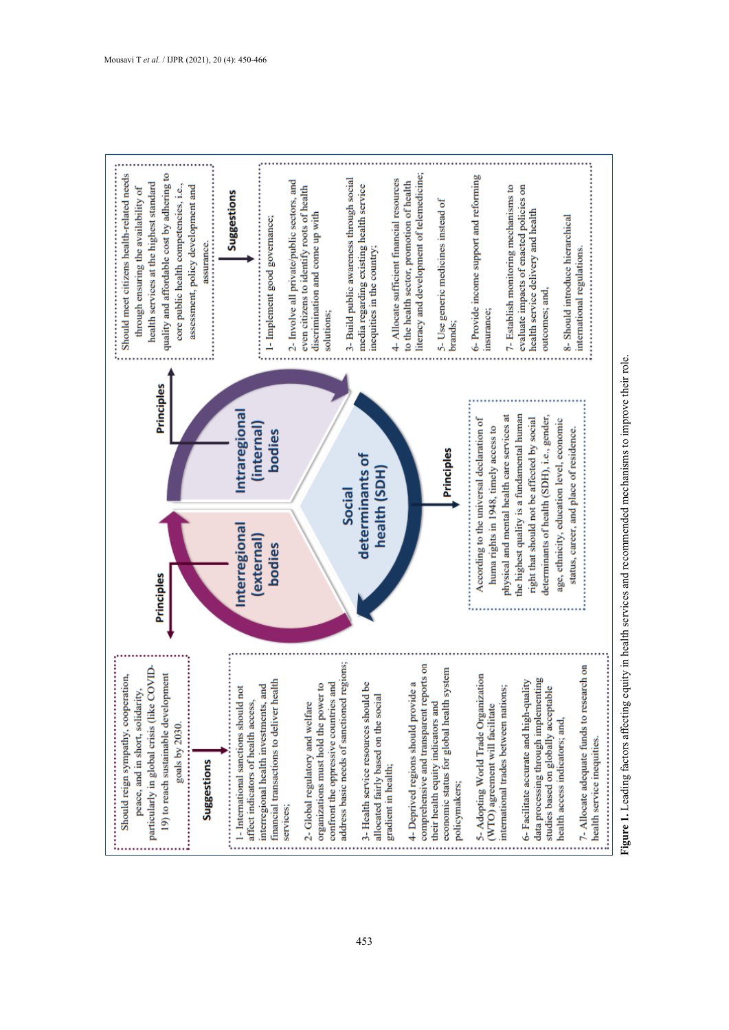

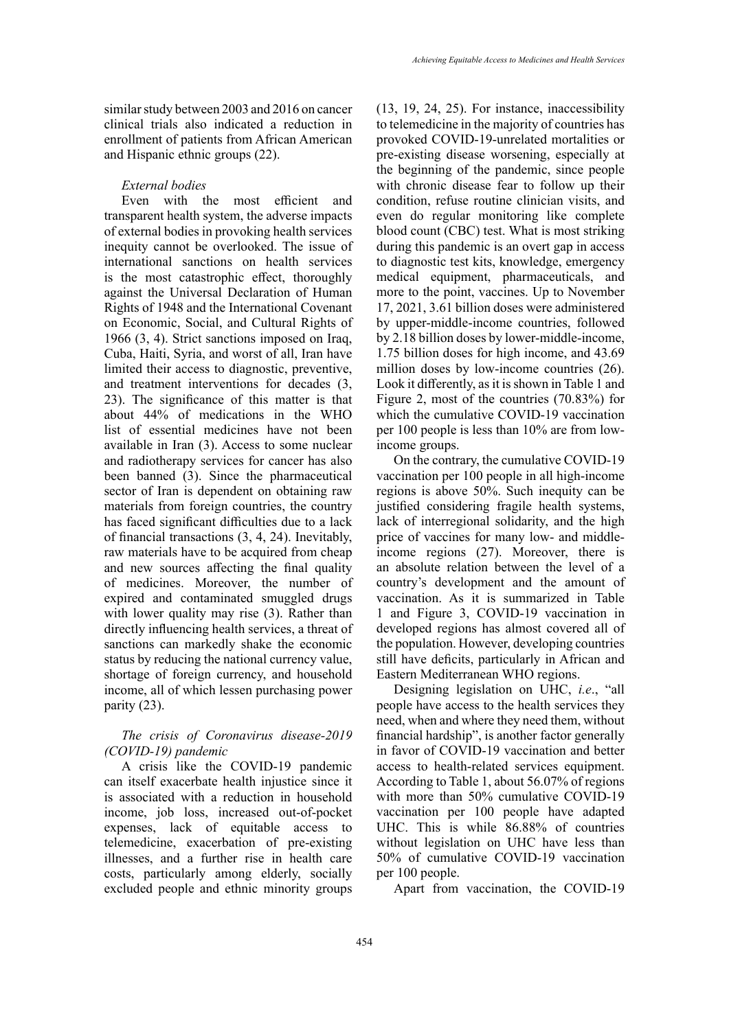similar study between 2003 and 2016 on cancer clinical trials also indicated a reduction in enrollment of patients from African American and Hispanic ethnic groups (22).

#### *External bodies*

Even with the most efficient and transparent health system, the adverse impacts of external bodies in provoking health services inequity cannot be overlooked. The issue of international sanctions on health services is the most catastrophic effect, thoroughly against the Universal Declaration of Human Rights of 1948 and the International Covenant on Economic, Social, and Cultural Rights of 1966 (3, 4). Strict sanctions imposed on Iraq, Cuba, Haiti, Syria, and worst of all, Iran have limited their access to diagnostic, preventive, and treatment interventions for decades (3, 23). The significance of this matter is that about 44% of medications in the WHO list of essential medicines have not been available in Iran (3). Access to some nuclear and radiotherapy services for cancer has also been banned (3). Since the pharmaceutical sector of Iran is dependent on obtaining raw materials from foreign countries, the country has faced significant difficulties due to a lack of financial transactions (3, 4, 24). Inevitably, raw materials have to be acquired from cheap and new sources affecting the final quality of medicines. Moreover, the number of expired and contaminated smuggled drugs with lower quality may rise (3). Rather than directly influencing health services, a threat of sanctions can markedly shake the economic status by reducing the national currency value, shortage of foreign currency, and household income, all of which lessen purchasing power parity (23).

# *The crisis of Coronavirus disease-2019 (COVID-19) pandemic*

A crisis like the COVID-19 pandemic can itself exacerbate health injustice since it is associated with a reduction in household income, job loss, increased out-of-pocket expenses, lack of equitable access to telemedicine, exacerbation of pre-existing illnesses, and a further rise in health care costs, particularly among elderly, socially excluded people and ethnic minority groups

(13, 19, 24, 25). For instance, inaccessibility to telemedicine in the majority of countries has provoked COVID-19-unrelated mortalities or pre-existing disease worsening, especially at the beginning of the pandemic, since people with chronic disease fear to follow up their condition, refuse routine clinician visits, and even do regular monitoring like complete blood count (CBC) test. What is most striking during this pandemic is an overt gap in access to diagnostic test kits, knowledge, emergency medical equipment, pharmaceuticals, and more to the point, vaccines. Up to November 17, 2021, 3.61 billion doses were administered by upper-middle-income countries, followed by 2.18 billion doses by lower-middle-income, 1.75 billion doses for high income, and 43.69 million doses by low-income countries (26). Look it differently, as it is shown in Table 1 and Figure 2, most of the countries (70.83%) for which the cumulative COVID-19 vaccination per 100 people is less than 10% are from lowincome groups.

On the contrary, the cumulative COVID-19 vaccination per 100 people in all high-income regions is above 50%. Such inequity can be justified considering fragile health systems, lack of interregional solidarity, and the high price of vaccines for many low- and middleincome regions (27). Moreover, there is an absolute relation between the level of a country's development and the amount of vaccination. As it is summarized in Table 1 and Figure 3, COVID-19 vaccination in developed regions has almost covered all of the population. However, developing countries still have deficits, particularly in African and Eastern Mediterranean WHO regions.

Designing legislation on UHC, *i.e*., "all people have access to the health services they need, when and where they need them, without financial hardship", is another factor generally in favor of COVID-19 vaccination and better access to health-related services equipment. According to Table 1, about 56.07% of regions with more than 50% cumulative COVID-19 vaccination per 100 people have adapted UHC. This is while 86.88% of countries without legislation on UHC have less than 50% of cumulative COVID-19 vaccination per 100 people.

Apart from vaccination, the COVID-19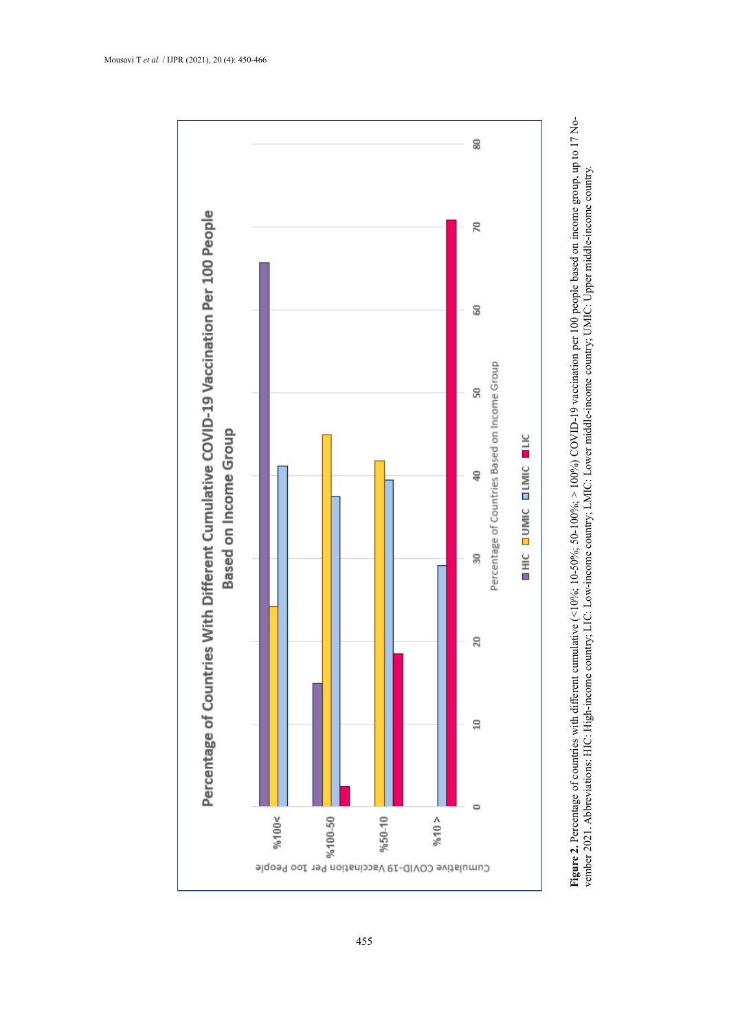

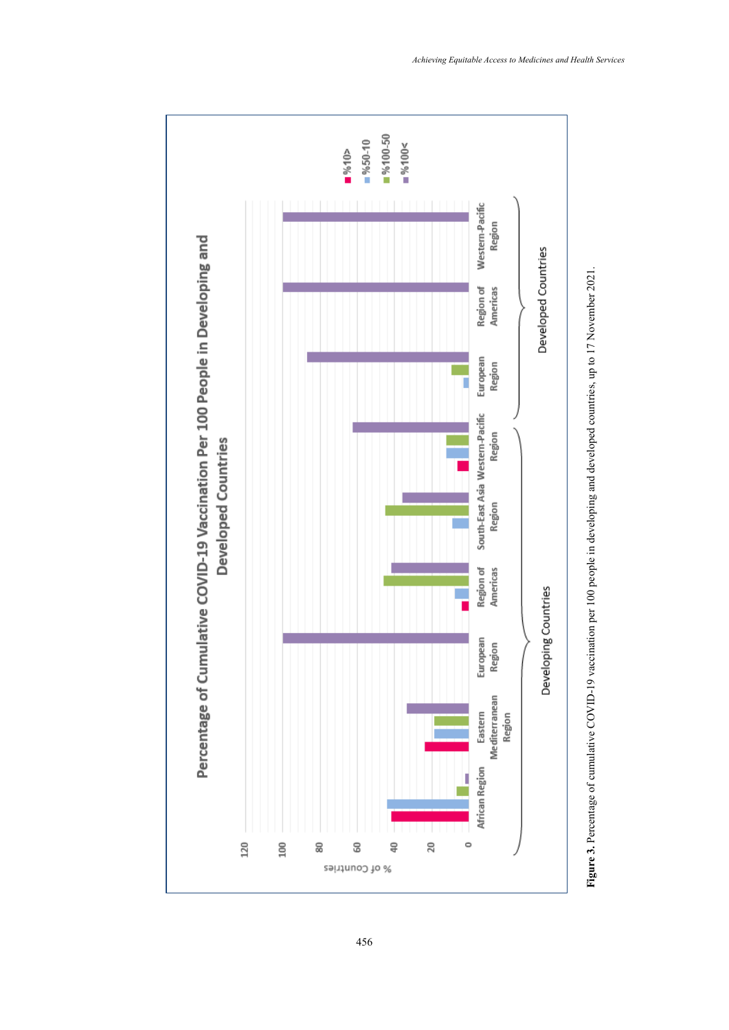



456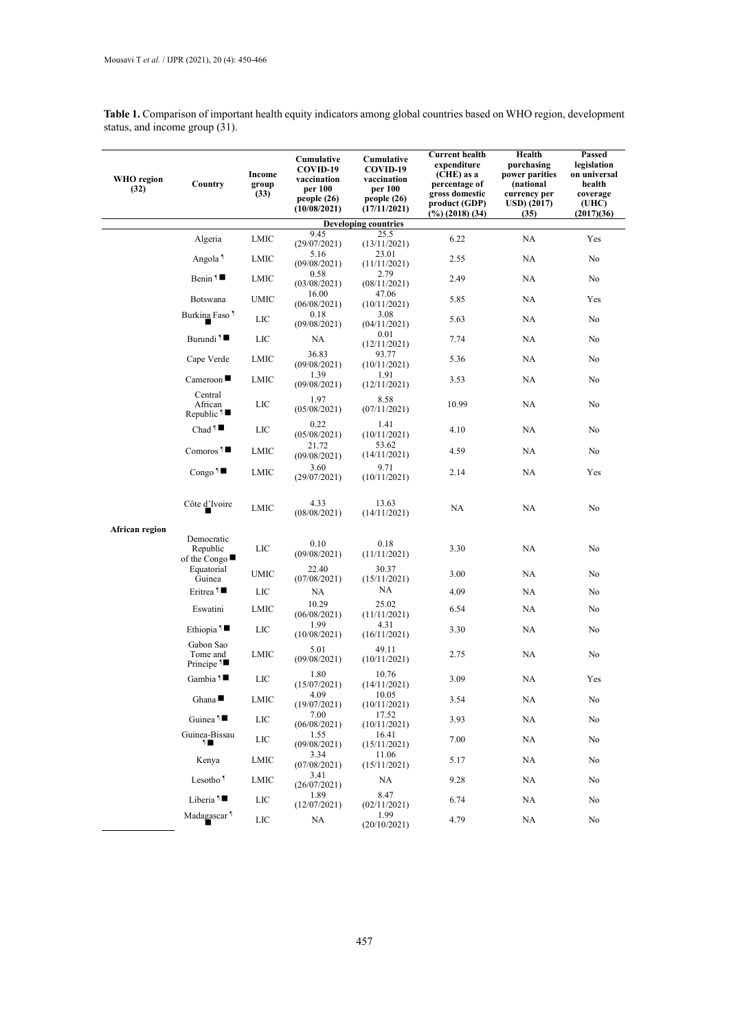**Table 1.** Comparison of important health equity indicators among global countries based on WHO region, development status, and income group (31). **The 1. Comparison of important health equity in Table 2. The important status**, and income group (31).

| <b>WHO</b> region<br>(32) | Country                                           | Income<br>group<br>(33) | Cumulative<br>COVID-19<br>vaccination<br>per 100<br>people(26)<br>(10/08/2021) | Cumulative<br>COVID-19<br>vaccination<br>per 100<br>people (26)<br>(17/11/2021) | <b>Current health</b><br>expenditure<br>(CHE) as a<br>percentage of<br>gross domestic<br>product (GDP)<br>$(\%)(2018)(34)$ | Health<br>purchasing<br>power parities<br>(national<br>currency per<br>USD) (2017)<br>(35) | Passed<br>legislation<br>on universal<br>health<br>coverage<br>(UHC)<br>(2017)(36) |
|---------------------------|---------------------------------------------------|-------------------------|--------------------------------------------------------------------------------|---------------------------------------------------------------------------------|----------------------------------------------------------------------------------------------------------------------------|--------------------------------------------------------------------------------------------|------------------------------------------------------------------------------------|
|                           |                                                   |                         |                                                                                | <b>Developing countries</b>                                                     |                                                                                                                            |                                                                                            |                                                                                    |
|                           | Algeria                                           | LMIC                    | 9.45<br>(29/07/2021)                                                           | 25.5<br>(13/11/2021)                                                            | 6.22                                                                                                                       | NA                                                                                         | Yes                                                                                |
|                           | Angola <sup>1</sup>                               | LMIC                    | 5.16<br>(09/08/2021)                                                           | 23.01<br>(11/11/2021)                                                           | 2.55                                                                                                                       | NA                                                                                         | No                                                                                 |
|                           | Benin $\P$                                        | LMIC                    | 0.58<br>(03/08/2021)                                                           | 2.79<br>(08/11/2021)                                                            | 2.49                                                                                                                       | NA                                                                                         | No                                                                                 |
|                           | Botswana                                          | UMIC                    | 16.00<br>(06/08/2021)                                                          | 47.06<br>(10/11/2021)                                                           | 5.85                                                                                                                       | NA                                                                                         | Yes                                                                                |
|                           | Burkina Faso <sup>1</sup>                         | LIC                     | 0.18<br>(09/08/2021)                                                           | 3.08<br>(04/11/2021)                                                            | 5.63                                                                                                                       | NA                                                                                         | No                                                                                 |
|                           | Burundi <sup>1</sup>                              | LIC                     | NA                                                                             | 0.01<br>(12/11/2021)                                                            | 7.74                                                                                                                       | NA                                                                                         | No                                                                                 |
|                           | Cape Verde                                        | LMIC                    | 36.83<br>(09/08/2021)                                                          | 93.77<br>(10/11/2021)                                                           | 5.36                                                                                                                       | NA                                                                                         | No                                                                                 |
|                           | $C$ ameroon                                       | LMIC                    | 1.39<br>(09/08/2021)                                                           | 1.91<br>(12/11/2021)                                                            | 3.53                                                                                                                       | NA                                                                                         | No                                                                                 |
|                           | Central<br>African<br>Republic $\P$               | LIC                     | 1.97<br>(05/08/2021)                                                           | 8.58<br>(07/11/2021)                                                            | 10.99                                                                                                                      | NA                                                                                         | No                                                                                 |
|                           | Chad <sup>1</sup>                                 | LIC                     | 0.22<br>(05/08/2021)                                                           | 1.41<br>(10/11/2021)                                                            | 4.10                                                                                                                       | NA                                                                                         | No                                                                                 |
|                           | Comoros <sup>1</sup>                              | LMIC                    | 21.72<br>(09/08/2021)                                                          | 53.62<br>(14/11/2021)                                                           | 4.59                                                                                                                       | NA                                                                                         | No                                                                                 |
|                           | Congo $\blacksquare$                              | LMIC                    | 3.60<br>(29/07/2021)                                                           | 9.71<br>(10/11/2021)                                                            | 2.14                                                                                                                       | NA                                                                                         | Yes                                                                                |
|                           | Côte d'Ivoire                                     | <b>LMIC</b>             | 4.33<br>(08/08/2021)                                                           | 13.63<br>(14/11/2021)                                                           | NA                                                                                                                         | NA                                                                                         | No                                                                                 |
| African region            |                                                   |                         |                                                                                |                                                                                 |                                                                                                                            |                                                                                            |                                                                                    |
|                           | Democratic<br>Republic<br>of the Congo            | LIC                     | 0.10<br>(09/08/2021)                                                           | 0.18<br>(11/11/2021)                                                            | 3.30                                                                                                                       | NA                                                                                         | No                                                                                 |
|                           | Equatorial<br>Guinea                              | UMIC                    | 22.40<br>(07/08/2021)                                                          | 30.37<br>(15/11/2021)                                                           | 3.00                                                                                                                       | NA                                                                                         | No                                                                                 |
|                           | Eritrea <sup>1</sup>                              | LIC                     | NA                                                                             | NA                                                                              | 4.09                                                                                                                       | NA                                                                                         | No                                                                                 |
|                           | Eswatini                                          | LMIC                    | 10.29<br>(06/08/2021)                                                          | 25.02<br>(11/11/2021)                                                           | 6.54                                                                                                                       | NA                                                                                         | No                                                                                 |
|                           | Ethiopia <sup>1</sup>                             | LIC                     | 1.99<br>(10/08/2021)                                                           | 4.31<br>(16/11/2021)                                                            | 3.30                                                                                                                       | NA                                                                                         | No                                                                                 |
|                           | Gabon Sao<br>Tome and<br>Principe $1\blacksquare$ | LMIC                    | 5.01<br>(09/08/2021)                                                           | 49.11<br>(10/11/2021)                                                           | 2.75                                                                                                                       | NA                                                                                         | No                                                                                 |
|                           | Gambia <sup>1</sup>                               | LIC                     | 1.80<br>(15/07/2021)                                                           | 10.76<br>(14/11/2021)                                                           | 3.09                                                                                                                       | NA                                                                                         | Yes                                                                                |
|                           | Ghana $\blacksquare$                              | LMIC                    | 4.09<br>(19/07/2021)                                                           | 10.05<br>(10/11/2021)                                                           | 3.54                                                                                                                       | NA.                                                                                        | No                                                                                 |
|                           | Guinea <sup>1</sup>                               | LIC                     | 7.00<br>(06/08/2021)                                                           | 17.52<br>(10/11/2021)                                                           | 3.93                                                                                                                       | NA                                                                                         | No                                                                                 |
|                           | Guinea-Bissau<br>1∎                               | LIC                     | 1.55<br>(09/08/2021)                                                           | 16.41<br>(15/11/2021)                                                           | 7.00                                                                                                                       | NA.                                                                                        | No                                                                                 |
|                           | Kenya                                             | LMIC                    | 3.34<br>(07/08/2021)                                                           | 11.06<br>(15/11/2021)                                                           | 5.17                                                                                                                       | NA.                                                                                        | No                                                                                 |
|                           | Lesotho <sup>1</sup>                              | LMIC                    | 3.41<br>(26/07/2021)<br>1.89                                                   | NA                                                                              | 9.28                                                                                                                       | NA                                                                                         | No                                                                                 |
|                           | Liberia <sup>1</sup>                              | LIC                     | (12/07/2021)                                                                   | 8.47<br>(02/11/2021)                                                            | 6.74                                                                                                                       | NA.                                                                                        | No                                                                                 |
|                           | Madagascar <sup>1</sup>                           | LIC                     | NA                                                                             | 1.99<br>(20/10/2021)                                                            | 4.79                                                                                                                       | NA                                                                                         | No                                                                                 |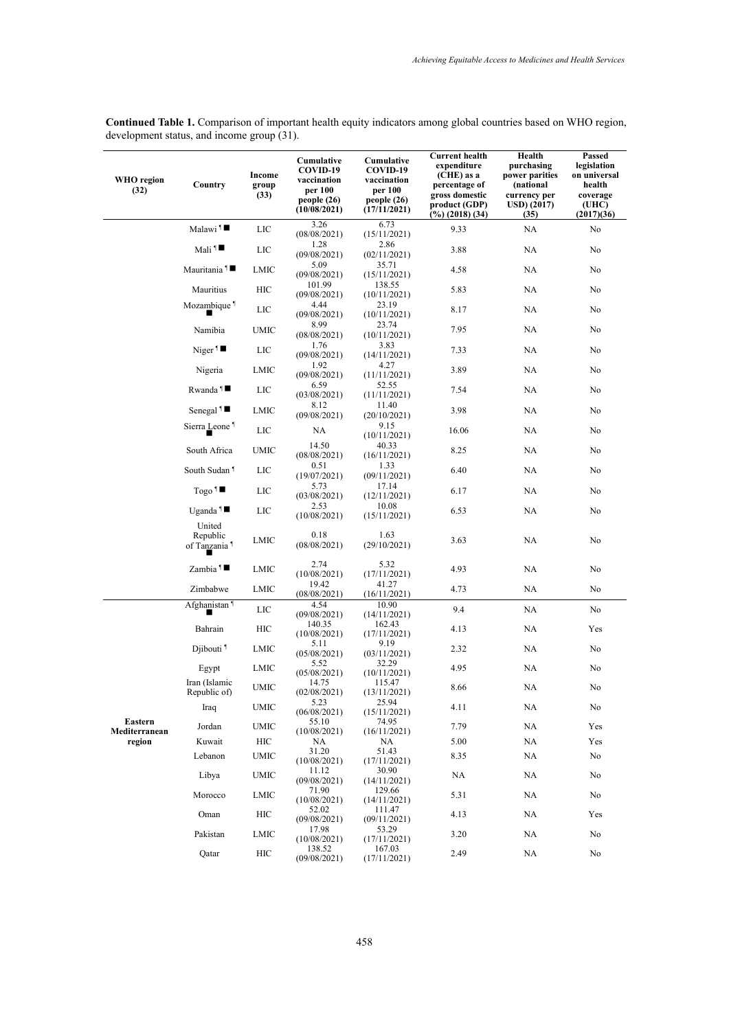| WHO region<br>(32)       | Country                                        | Income<br>group<br>(33) | Cumulative<br>COVID-19<br>vaccination<br>per 100<br>people(26)<br>(10/08/2021) | Cumulative<br>COVID-19<br>vaccination<br>per 100<br>people (26)<br>(17/11/2021) | <b>Current health</b><br>expenditure<br>(CHE) as a<br>percentage of<br>gross domestic<br>product (GDP)<br>(%) (2018) (34) | Health<br>purchasing<br>power parities<br>(national<br>currency per<br>$\rm{USD}$ $(2017)$<br>(35) | Passed<br>legislation<br>on universal<br>health<br>coverage<br>(UHC)<br>(2017)(36) |
|--------------------------|------------------------------------------------|-------------------------|--------------------------------------------------------------------------------|---------------------------------------------------------------------------------|---------------------------------------------------------------------------------------------------------------------------|----------------------------------------------------------------------------------------------------|------------------------------------------------------------------------------------|
|                          | Malawi <sup>1</sup>                            | LIC                     | 3.26<br>(08/08/2021)                                                           | 6.73<br>(15/11/2021)                                                            | 9.33                                                                                                                      | NA                                                                                                 | No                                                                                 |
|                          | $Mali$ <sup>1</sup>                            | LIC                     | 1.28<br>(09/08/2021)                                                           | 2.86<br>(02/11/2021)                                                            | 3.88                                                                                                                      | NA                                                                                                 | No                                                                                 |
|                          | Mauritania 1■                                  | LMIC                    | 5.09<br>(09/08/2021)                                                           | 35.71<br>(15/11/2021)                                                           | 4.58                                                                                                                      | NA                                                                                                 | No                                                                                 |
|                          | Mauritius                                      | HIC                     | 101.99<br>(09/08/2021)                                                         | 138.55<br>(10/11/2021)                                                          | 5.83                                                                                                                      | NA                                                                                                 | No                                                                                 |
|                          | Mozambique <sup>1</sup>                        | LIC                     | 4.44<br>(09/08/2021)                                                           | 23.19<br>(10/11/2021)                                                           | 8.17                                                                                                                      | NA                                                                                                 | No                                                                                 |
|                          | Namibia                                        | UMIC                    | 8.99<br>(08/08/2021)                                                           | 23.74<br>(10/11/2021)                                                           | 7.95                                                                                                                      | NA                                                                                                 | No                                                                                 |
|                          | Niger <sup>1</sup>                             | LIC                     | 1.76<br>(09/08/2021)                                                           | 3.83<br>(14/11/2021)                                                            | 7.33                                                                                                                      | NA                                                                                                 | No                                                                                 |
|                          | Nigeria                                        | LMIC                    | 1.92<br>(09/08/2021)                                                           | 4.27<br>(11/11/2021)                                                            | 3.89                                                                                                                      | NA                                                                                                 | No                                                                                 |
|                          | Rwanda <sup>1</sup>                            | LIC                     | 6.59<br>(03/08/2021)                                                           | 52.55<br>(11/11/2021)                                                           | 7.54                                                                                                                      | NA                                                                                                 | No                                                                                 |
|                          | Senegal <sup>1</sup>                           | LMIC                    | 8.12<br>(09/08/2021)                                                           | 11.40<br>(20/10/2021)                                                           | 3.98                                                                                                                      | NA                                                                                                 | No                                                                                 |
|                          | Sierra Leone <sup>1</sup>                      | LIC                     | NA                                                                             | 9.15<br>(10/11/2021)                                                            | 16.06                                                                                                                     | NA                                                                                                 | No                                                                                 |
|                          | South Africa                                   | UMIC                    | 14.50<br>(08/08/2021)                                                          | 40.33<br>(16/11/2021)                                                           | 8.25                                                                                                                      | NA                                                                                                 | No                                                                                 |
|                          | South Sudan <sup>1</sup>                       | LIC                     | 0.51<br>(19/07/2021)                                                           | 1.33<br>(09/11/2021)                                                            | 6.40                                                                                                                      | NA                                                                                                 | No                                                                                 |
|                          | $\text{Togo}$ <sup>1</sup>                     | LIC                     | 5.73<br>(03/08/2021)                                                           | 17.14<br>(12/11/2021)                                                           | 6.17                                                                                                                      | NA                                                                                                 | No                                                                                 |
|                          | Uganda <sup>1</sup>                            | LIC                     | 2.53<br>(10/08/2021)                                                           | 10.08<br>(15/11/2021)                                                           | 6.53                                                                                                                      | NA                                                                                                 | No                                                                                 |
|                          | United<br>Republic<br>of Tanzania <sup>1</sup> | LMIC                    | 0.18<br>(08/08/2021)                                                           | 1.63<br>(29/10/2021)                                                            | 3.63                                                                                                                      | NA                                                                                                 | No                                                                                 |
|                          | Zambia $\P$                                    | LMIC                    | 2.74<br>(10/08/2021)                                                           | 5.32<br>(17/11/2021)                                                            | 4.93                                                                                                                      | NA                                                                                                 | No                                                                                 |
|                          | Zimbabwe                                       | LMIC                    | 19.42<br>(08/08/2021)                                                          | 41.27<br>(16/11/2021)                                                           | 4.73                                                                                                                      | NA                                                                                                 | No                                                                                 |
|                          | Afghanistan <sup>1</sup>                       | LIC                     | 4.54<br>(09/08/2021)                                                           | 10.90<br>(14/11/2021)                                                           | 9.4                                                                                                                       | NA                                                                                                 | No                                                                                 |
|                          | Bahrain                                        | HІC                     | 140.35<br>(10/08/2021)                                                         | 162.43<br>(17/11/2021)                                                          | 4.13                                                                                                                      | NA                                                                                                 | Yes                                                                                |
|                          | Djibouti <sup>1</sup>                          | LMIC                    | 5.11<br>(05/08/2021)                                                           | 9.19<br>(03/11/2021)                                                            | 2.32                                                                                                                      | NA                                                                                                 | No                                                                                 |
|                          | Egypt                                          | LMIC                    | 5.52<br>(05/08/2021)                                                           | 32.29<br>(10/11/2021)                                                           | 4.95                                                                                                                      | NA                                                                                                 | No                                                                                 |
|                          | Iran (Islamic<br>Republic of)                  | <b>UMIC</b>             | 14.75<br>(02/08/2021)                                                          | 115.47<br>(13/11/2021)                                                          | 8.66                                                                                                                      | NA                                                                                                 | No                                                                                 |
|                          | Iraq                                           | <b>UMIC</b>             | 5.23<br>(06/08/2021)                                                           | 25.94<br>(15/11/2021)                                                           | 4.11                                                                                                                      | NA                                                                                                 | No                                                                                 |
| Eastern<br>Mediterranean | Jordan                                         | UMIC                    | 55.10<br>(10/08/2021)                                                          | 74.95<br>(16/11/2021)                                                           | 7.79                                                                                                                      | NA                                                                                                 | Yes                                                                                |
| region                   | Kuwait                                         | HIC                     | NA<br>31.20                                                                    | NA<br>51.43                                                                     | 5.00                                                                                                                      | NA                                                                                                 | Yes                                                                                |
|                          | Lebanon                                        | <b>UMIC</b>             | (10/08/2021)<br>11.12                                                          | (17/11/2021)<br>30.90                                                           | 8.35                                                                                                                      | NA                                                                                                 | No                                                                                 |
|                          | Libya<br>Morocco                               | UMIC                    | (09/08/2021)<br>71.90                                                          | (14/11/2021)<br>129.66                                                          | NA                                                                                                                        | NA                                                                                                 | No                                                                                 |
|                          |                                                | LMIC                    | (10/08/2021)<br>52.02                                                          | (14/11/2021)<br>111.47                                                          | 5.31                                                                                                                      | NA                                                                                                 | No                                                                                 |
|                          | Oman                                           | HIC                     | (09/08/2021)<br>17.98                                                          | (09/11/2021)<br>53.29                                                           | 4.13                                                                                                                      | NA                                                                                                 | Yes                                                                                |
|                          | Pakistan                                       | LMIC                    | (10/08/2021)                                                                   | (17/11/2021)                                                                    | 3.20                                                                                                                      | NA                                                                                                 | No                                                                                 |
|                          | Qatar                                          | HIC                     | 138.52<br>(09/08/2021)                                                         | 167.03<br>(17/11/2021)                                                          | 2.49                                                                                                                      | NA                                                                                                 | No                                                                                 |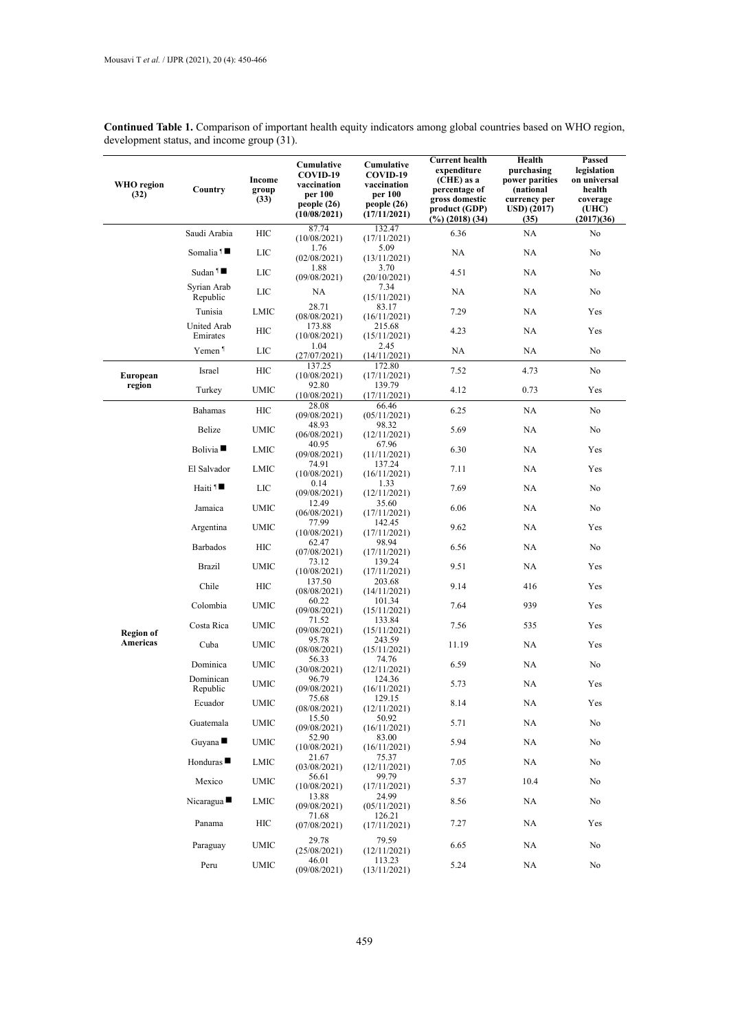| WHO region<br>(32) | Country                        | Income<br>group<br>(33) | Cumulative<br>COVID-19<br>vaccination<br>per 100<br>people (26)<br>(10/08/2021) | Cumulative<br>COVID-19<br>vaccination<br>per 100<br>people(26)<br>(17/11/2021) | <b>Current health</b><br>expenditure<br>(CHE) as a<br>percentage of<br>gross domestic<br>product (GDP)<br>$(\%)(2018)(34)$ | Health<br>purchasing<br>power parities<br>(national<br>currency per<br>USD) (2017)<br>(35) | Passed<br>legislation<br>on universal<br>health<br>coverage<br>(UHC)<br>(2017)(36) |
|--------------------|--------------------------------|-------------------------|---------------------------------------------------------------------------------|--------------------------------------------------------------------------------|----------------------------------------------------------------------------------------------------------------------------|--------------------------------------------------------------------------------------------|------------------------------------------------------------------------------------|
|                    | Saudi Arabia                   | HIC                     | 87.74<br>(10/08/2021)                                                           | 132.47<br>(17/11/2021)                                                         | 6.36                                                                                                                       | NA                                                                                         | No                                                                                 |
|                    | Somalia <sup>1</sup>           | LIC                     | 1.76<br>(02/08/2021)                                                            | 5.09<br>(13/11/2021)                                                           | NA                                                                                                                         | NA                                                                                         | No                                                                                 |
|                    | Sudan $\P$                     | LIC                     | 1.88                                                                            | 3.70                                                                           | 4.51                                                                                                                       | NA                                                                                         | No                                                                                 |
|                    | Syrian Arab                    | LIC                     | (09/08/2021)<br>NA                                                              | (20/10/2021)<br>7.34                                                           | NA                                                                                                                         | NA                                                                                         | No                                                                                 |
|                    | Republic<br>Tunisia            | LMIC                    | 28.71                                                                           | (15/11/2021)<br>83.17                                                          | 7.29                                                                                                                       | NA                                                                                         | Yes                                                                                |
|                    | United Arab                    | HІC                     | (08/08/2021)<br>173.88                                                          | (16/11/2021)<br>215.68                                                         | 4.23                                                                                                                       | NA                                                                                         | Yes                                                                                |
|                    | Emirates<br>Yemen <sup>1</sup> | LIC                     | (10/08/2021)<br>1.04                                                            | (15/11/2021)<br>2.45                                                           | NA                                                                                                                         | NA                                                                                         | No                                                                                 |
|                    | Israel                         | HIC                     | (27/07/2021)<br>137.25                                                          | (14/11/2021)<br>172.80                                                         | 7.52                                                                                                                       | 4.73                                                                                       | No                                                                                 |
| European<br>region | Turkey                         | UMIC                    | (10/08/2021)<br>92.80                                                           | (17/11/2021)<br>139.79                                                         | 4.12                                                                                                                       | 0.73                                                                                       | Yes                                                                                |
|                    |                                |                         | (10/08/2021)<br>28.08                                                           | (17/11/2021)<br>66.46                                                          |                                                                                                                            |                                                                                            |                                                                                    |
|                    | Bahamas                        | HIС                     | (09/08/2021)<br>48.93                                                           | (05/11/2021)<br>98.32                                                          | 6.25                                                                                                                       | NA                                                                                         | No                                                                                 |
|                    | Belize                         | UMIC                    | (06/08/2021)                                                                    | (12/11/2021)                                                                   | 5.69                                                                                                                       | NA                                                                                         | No                                                                                 |
|                    | Bolivia                        | LMIC                    | 40.95<br>(09/08/2021)                                                           | 67.96<br>(11/11/2021)                                                          | 6.30                                                                                                                       | NA                                                                                         | Yes                                                                                |
|                    | El Salvador                    | LMIC                    | 74.91<br>(10/08/2021)                                                           | 137.24<br>(16/11/2021)                                                         | 7.11                                                                                                                       | NA                                                                                         | Yes                                                                                |
|                    | Haiti $1$                      | LIC                     | 0.14<br>(09/08/2021)                                                            | 1.33<br>(12/11/2021)                                                           | 7.69                                                                                                                       | NA                                                                                         | No                                                                                 |
|                    | Jamaica                        | UMIC                    | 12.49<br>(06/08/2021)                                                           | 35.60<br>(17/11/2021)                                                          | 6.06                                                                                                                       | NA                                                                                         | No                                                                                 |
|                    | Argentina                      | UMIC                    | 77.99<br>(10/08/2021)                                                           | 142.45<br>(17/11/2021)                                                         | 9.62                                                                                                                       | NA                                                                                         | Yes                                                                                |
|                    | Barbados                       | HIC                     | 62.47<br>(07/08/2021)                                                           | 98.94<br>(17/11/2021)                                                          | 6.56                                                                                                                       | NA                                                                                         | No                                                                                 |
|                    | <b>Brazil</b>                  | UMIC                    | 73.12<br>(10/08/2021)                                                           | 139.24<br>(17/11/2021)                                                         | 9.51                                                                                                                       | NA                                                                                         | Yes                                                                                |
|                    | Chile                          | HIС                     | 137.50<br>(08/08/2021)                                                          | 203.68<br>(14/11/2021)                                                         | 9.14                                                                                                                       | 416                                                                                        | Yes                                                                                |
|                    | Colombia                       | UMIC                    | 60.22<br>(09/08/2021)                                                           | 101.34<br>(15/11/2021)                                                         | 7.64                                                                                                                       | 939                                                                                        | Yes                                                                                |
| <b>Region of</b>   | Costa Rica                     | UMIC                    | 71.52<br>(09/08/2021)                                                           | 133.84<br>(15/11/2021)                                                         | 7.56                                                                                                                       | 535                                                                                        | Yes                                                                                |
| Americas           | Cuba                           | UMIC                    | 95.78<br>(08/08/2021)                                                           | 243.59<br>(15/11/2021)                                                         | 11.19                                                                                                                      | NA                                                                                         | Yes                                                                                |
|                    | Dominica                       | UMIC                    | 56.33<br>(30/08/2021)                                                           | 74.76<br>(12/11/2021)                                                          | 6.59                                                                                                                       | NA                                                                                         | No                                                                                 |
|                    | Dominican<br>Republic          | UMIC                    | 96.79<br>(09/08/2021)                                                           | 124.36<br>(16/11/2021)                                                         | 5.73                                                                                                                       | NA.                                                                                        | Yes                                                                                |
|                    | Ecuador                        | <b>UMIC</b>             | 75.68<br>(08/08/2021)                                                           | 129.15<br>(12/11/2021)                                                         | 8.14                                                                                                                       | $\rm NA$                                                                                   | Yes                                                                                |
|                    | Guatemala                      | <b>UMIC</b>             | 15.50<br>(09/08/2021)                                                           | 50.92<br>(16/11/2021)                                                          | 5.71                                                                                                                       | NA                                                                                         | No                                                                                 |
|                    | Guyana                         | UMIC                    | 52.90<br>(10/08/2021)                                                           | 83.00<br>(16/11/2021)                                                          | 5.94                                                                                                                       | NA                                                                                         | No                                                                                 |
|                    | Honduras $\blacksquare$        | LMIC                    | 21.67<br>(03/08/2021)                                                           | 75.37<br>(12/11/2021)                                                          | 7.05                                                                                                                       | NA                                                                                         | No                                                                                 |
|                    | Mexico                         | <b>UMIC</b>             | 56.61<br>(10/08/2021)                                                           | 99.79<br>(17/11/2021)                                                          | 5.37                                                                                                                       | 10.4                                                                                       | No                                                                                 |
|                    | Nicaragua $\blacksquare$       | LMIC                    | 13.88<br>(09/08/2021)                                                           | 24.99<br>(05/11/2021)                                                          | 8.56                                                                                                                       | NA                                                                                         | No                                                                                 |
|                    | Panama                         | HІC                     | 71.68<br>(07/08/2021)                                                           | 126.21<br>(17/11/2021)                                                         | 7.27                                                                                                                       | NA                                                                                         | Yes                                                                                |
|                    | Paraguay                       | UMIC                    | 29.78<br>(25/08/2021)                                                           | 79.59<br>(12/11/2021)                                                          | 6.65                                                                                                                       | NA                                                                                         | No                                                                                 |
|                    | Peru                           | UMIC                    | 46.01<br>(09/08/2021)                                                           | 113.23<br>(13/11/2021)                                                         | 5.24                                                                                                                       | NA                                                                                         | No                                                                                 |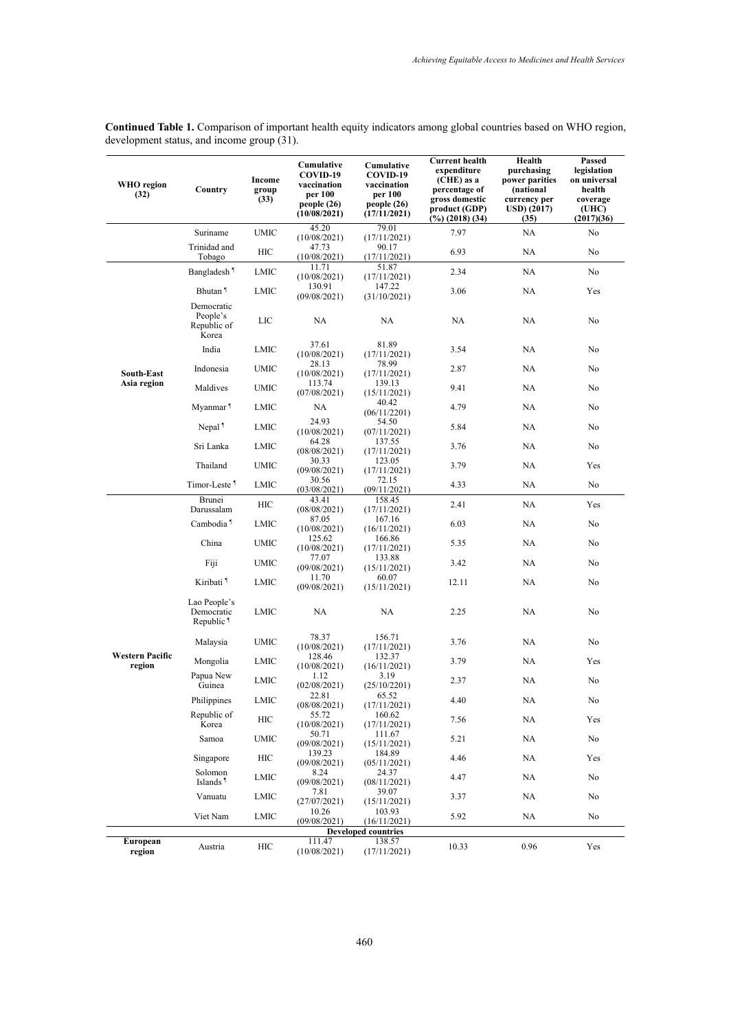| WHO region<br>(32)               | Country                                             | Income<br>group<br>(33) | Cumulative<br>COVID-19<br>vaccination<br>per 100<br>people(26)<br>(10/08/2021) | Cumulative<br>COVID-19<br>vaccination<br>per 100<br>people (26)<br>(17/11/2021) | <b>Current health</b><br>expenditure<br>(CHE) as a<br>percentage of<br>gross domestic<br>product (GDP)<br>(%) (2018) (34) | Health<br>purchasing<br>power parities<br>(national<br>currency per<br>USD) (2017)<br>(35) | Passed<br>legislation<br>on universal<br>health<br>coverage<br>(UHC)<br>(2017)(36) |
|----------------------------------|-----------------------------------------------------|-------------------------|--------------------------------------------------------------------------------|---------------------------------------------------------------------------------|---------------------------------------------------------------------------------------------------------------------------|--------------------------------------------------------------------------------------------|------------------------------------------------------------------------------------|
|                                  | Suriname                                            | UMIC                    | 45.20<br>(10/08/2021)                                                          | 79.01<br>(17/11/2021)                                                           | 7.97                                                                                                                      | NA                                                                                         | No                                                                                 |
|                                  | Trinidad and<br>Tobago                              | HIС                     | 47.73<br>(10/08/2021)                                                          | 90.17<br>(17/11/2021)                                                           | 6.93                                                                                                                      | NA                                                                                         | No                                                                                 |
|                                  | Bangladesh <sup>1</sup>                             | LMIC                    | 11.71                                                                          | 51.87                                                                           | 2.34                                                                                                                      | NA                                                                                         | No                                                                                 |
|                                  | Bhutan <sup>1</sup>                                 | LMIC                    | (10/08/2021)<br>130.91                                                         | (17/11/2021)<br>147.22                                                          | 3.06                                                                                                                      | NA                                                                                         | Yes                                                                                |
|                                  | Democratic                                          |                         | (09/08/2021)                                                                   | (31/10/2021)                                                                    |                                                                                                                           |                                                                                            |                                                                                    |
|                                  | People's<br>Republic of<br>Korea                    | LIC                     | NA                                                                             | NA                                                                              | NA                                                                                                                        | NA                                                                                         | No                                                                                 |
|                                  | India                                               | LMIC                    | 37.61<br>(10/08/2021)                                                          | 81.89<br>(17/11/2021)                                                           | 3.54                                                                                                                      | NA                                                                                         | No                                                                                 |
| South-East                       | Indonesia                                           | <b>UMIC</b>             | 28.13<br>(10/08/2021)                                                          | 78.99<br>(17/11/2021)                                                           | 2.87                                                                                                                      | NA                                                                                         | No                                                                                 |
| Asia region                      | Maldives                                            | UMIC                    | 113.74<br>(07/08/2021)                                                         | 139.13<br>(15/11/2021)                                                          | 9.41                                                                                                                      | NA                                                                                         | No                                                                                 |
|                                  | Myanmar <sup>1</sup>                                | LMIC                    | NA                                                                             | 40.42<br>(06/11/2201)                                                           | 4.79                                                                                                                      | NA                                                                                         | No                                                                                 |
|                                  | Nepal <sup>1</sup>                                  | LMIC                    | 24.93<br>(10/08/2021)                                                          | 54.50<br>(07/11/2021)                                                           | 5.84                                                                                                                      | NA                                                                                         | No                                                                                 |
|                                  | Sri Lanka                                           | LMIC                    | 64.28<br>(08/08/2021)                                                          | 137.55<br>(17/11/2021)                                                          | 3.76                                                                                                                      | NA                                                                                         | No                                                                                 |
|                                  | Thailand                                            | UMIC                    | 30.33<br>(09/08/2021)                                                          | 123.05<br>(17/11/2021)                                                          | 3.79                                                                                                                      | NA                                                                                         | Yes                                                                                |
|                                  | Timor-Leste <sup>1</sup>                            | LMIC                    | 30.56<br>(03/08/2021)                                                          | 72.15<br>(09/11/2021)                                                           | 4.33                                                                                                                      | NA                                                                                         | No                                                                                 |
|                                  | Brunei                                              | HIC                     | 43.41                                                                          | 158.45                                                                          | 2.41                                                                                                                      | NA                                                                                         | Yes                                                                                |
|                                  | Darussalam<br>Cambodia <sup>1</sup>                 | LMIC                    | (08/08/2021)<br>87.05                                                          | (17/11/2021)<br>167.16                                                          | 6.03                                                                                                                      | NA                                                                                         | No                                                                                 |
|                                  | China                                               | UMIC                    | (10/08/2021)<br>125.62                                                         | (16/11/2021)<br>166.86                                                          | 5.35                                                                                                                      | NA                                                                                         | No                                                                                 |
|                                  | Fiji                                                | UMIC                    | (10/08/2021)<br>77.07                                                          | (17/11/2021)<br>133.88                                                          | 3.42                                                                                                                      | NA                                                                                         | No                                                                                 |
|                                  | Kiribati <sup>1</sup>                               | LMIC                    | (09/08/2021)<br>11.70                                                          | (15/11/2021)<br>60.07                                                           | 12.11                                                                                                                     | NA                                                                                         | No                                                                                 |
|                                  |                                                     |                         | (09/08/2021)                                                                   | (15/11/2021)                                                                    |                                                                                                                           |                                                                                            |                                                                                    |
|                                  | Lao People's<br>Democratic<br>Republic <sup>1</sup> | LMIC                    | NA                                                                             | NA                                                                              | 2.25                                                                                                                      | NA                                                                                         | No                                                                                 |
|                                  | Malaysia                                            | UMIC                    | 78.37<br>(10/08/2021)                                                          | 156.71<br>(17/11/2021)                                                          | 3.76                                                                                                                      | NA                                                                                         | No                                                                                 |
| <b>Western Pacific</b><br>region | Mongolia                                            | LMIC                    | 128.46<br>(10/08/2021)                                                         | 132.37<br>(16/11/2021)                                                          | 3.79                                                                                                                      | NA                                                                                         | Yes                                                                                |
|                                  | Papua New<br>Guinea                                 | LMIC                    | 1.12<br>(02/08/2021)                                                           | 3.19<br>(25/10/2201)                                                            | 2.37                                                                                                                      | NA                                                                                         | No                                                                                 |
|                                  | Philippines                                         | LMIC                    | 22.81<br>(08/08/2021)                                                          | 65.52<br>(17/11/2021)                                                           | 4.40                                                                                                                      | NA                                                                                         | No                                                                                 |
|                                  | Republic of<br>Korea                                | HІС                     | 55.72<br>(10/08/2021)                                                          | 160.62<br>(17/11/2021)                                                          | 7.56                                                                                                                      | NA                                                                                         | Yes                                                                                |
|                                  | Samoa                                               | UMIC                    | 50.71<br>(09/08/2021)                                                          | 111.67<br>(15/11/2021)                                                          | 5.21                                                                                                                      | NA                                                                                         | No                                                                                 |
|                                  | Singapore                                           | HIC                     | 139.23<br>(09/08/2021)                                                         | 184.89<br>(05/11/2021)                                                          | 4.46                                                                                                                      | NA                                                                                         | Yes                                                                                |
|                                  | Solomon<br>Islands <sup>1</sup>                     | LMIC                    | 8.24<br>(09/08/2021)                                                           | 24.37<br>(08/11/2021)                                                           | 4.47                                                                                                                      | NA                                                                                         | No                                                                                 |
|                                  | Vanuatu                                             | LMIC                    | 7.81<br>(27/07/2021)                                                           | 39.07<br>(15/11/2021)                                                           | 3.37                                                                                                                      | NA                                                                                         | No                                                                                 |
|                                  | Viet Nam                                            | LMIC                    | 10.26<br>(09/08/2021)                                                          | 103.93<br>(16/11/2021)                                                          | 5.92                                                                                                                      | NA                                                                                         | No                                                                                 |
|                                  |                                                     |                         |                                                                                | <b>Developed countries</b>                                                      |                                                                                                                           |                                                                                            |                                                                                    |
| European<br>region               | Austria                                             | HІC                     | 111.47<br>(10/08/2021)                                                         | 138.57<br>(17/11/2021)                                                          | 10.33                                                                                                                     | 0.96                                                                                       | Yes                                                                                |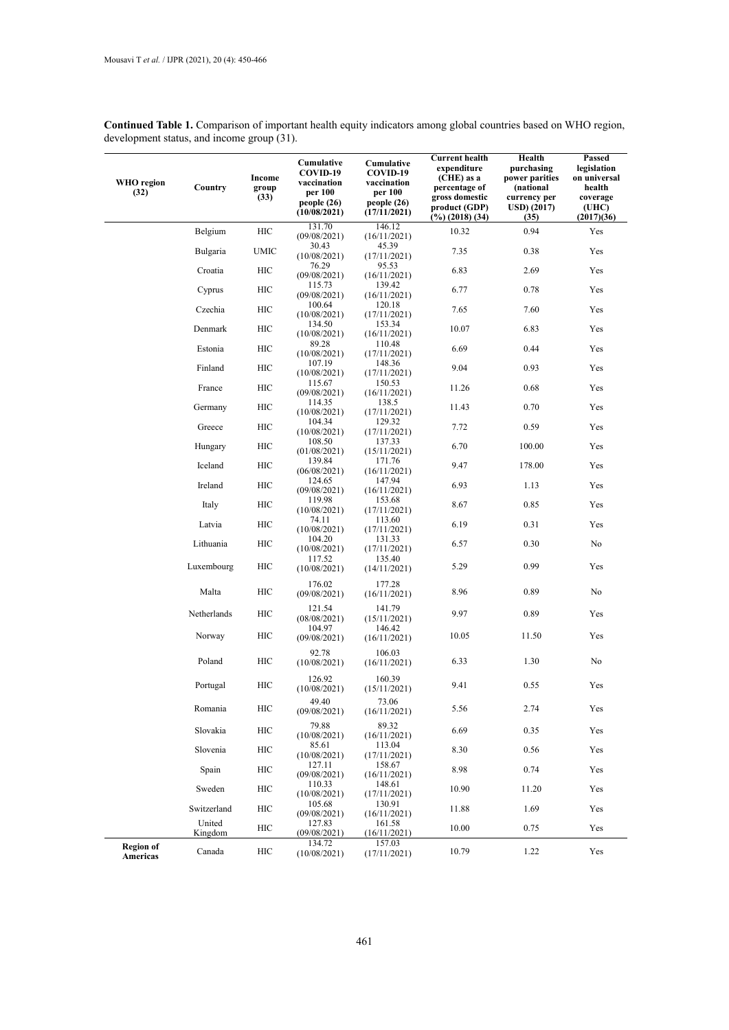| <b>WHO</b> region<br>(32)    | Country           | Income<br>group<br>(33) | Cumulative<br>COVID-19<br>vaccination<br>per 100<br>people(26)<br>(10/08/2021) | Cumulative<br>COVID-19<br>vaccination<br>per 100<br>people(26)<br>(17/11/2021) | <b>Current health</b><br>expenditure<br>(CHE) as a<br>percentage of<br>gross domestic<br>product (GDP)<br>$(\%)(2018)(34)$ | Health<br>purchasing<br>power parities<br>(national<br>currency per<br><b>USD</b> ) (2017)<br>(35) | Passed<br>legislation<br>on universal<br>health<br>coverage<br>(UHC)<br>(2017)(36) |
|------------------------------|-------------------|-------------------------|--------------------------------------------------------------------------------|--------------------------------------------------------------------------------|----------------------------------------------------------------------------------------------------------------------------|----------------------------------------------------------------------------------------------------|------------------------------------------------------------------------------------|
|                              | Belgium           | HIC                     | 131.70<br>(09/08/2021)                                                         | 146.12<br>(16/11/2021)                                                         | 10.32                                                                                                                      | 0.94                                                                                               | Yes                                                                                |
|                              | Bulgaria          | <b>UMIC</b>             | 30.43<br>(10/08/2021)                                                          | 45.39<br>(17/11/2021)                                                          | 7.35                                                                                                                       | 0.38                                                                                               | Yes                                                                                |
|                              | Croatia           | HIC                     | 76.29<br>(09/08/2021)                                                          | 95.53<br>(16/11/2021)                                                          | 6.83                                                                                                                       | 2.69                                                                                               | Yes                                                                                |
|                              | Cyprus            | HIC                     | 115.73<br>(09/08/2021)                                                         | 139.42<br>(16/11/2021)                                                         | 6.77                                                                                                                       | 0.78                                                                                               | Yes                                                                                |
|                              | Czechia           | HIC                     | 100.64<br>(10/08/2021)                                                         | 120.18<br>(17/11/2021)                                                         | 7.65                                                                                                                       | 7.60                                                                                               | Yes                                                                                |
|                              | Denmark           | HIC                     | 134.50<br>(10/08/2021)                                                         | 153.34<br>(16/11/2021)                                                         | 10.07                                                                                                                      | 6.83                                                                                               | Yes                                                                                |
|                              | Estonia           | HIC                     | 89.28<br>(10/08/2021)                                                          | 110.48<br>(17/11/2021)                                                         | 6.69                                                                                                                       | 0.44                                                                                               | Yes                                                                                |
|                              | Finland           | HIC                     | 107.19<br>(10/08/2021)                                                         | 148.36<br>(17/11/2021)                                                         | 9.04                                                                                                                       | 0.93                                                                                               | Yes                                                                                |
|                              | France            | HIC                     | 115.67<br>(09/08/2021)                                                         | 150.53<br>(16/11/2021)                                                         | 11.26                                                                                                                      | 0.68                                                                                               | Yes                                                                                |
|                              | Germany           | HIC                     | 114.35<br>(10/08/2021)                                                         | 138.5<br>(17/11/2021)                                                          | 11.43                                                                                                                      | 0.70                                                                                               | Yes                                                                                |
|                              | Greece            | HIC                     | 104.34<br>(10/08/2021)                                                         | 129.32<br>(17/11/2021)                                                         | 7.72                                                                                                                       | 0.59                                                                                               | Yes                                                                                |
|                              | Hungary           | HIC                     | 108.50<br>(01/08/2021)                                                         | 137.33<br>(15/11/2021)                                                         | 6.70                                                                                                                       | 100.00                                                                                             | Yes                                                                                |
|                              | Iceland           | HIC                     | 139.84<br>(06/08/2021)                                                         | 171.76<br>(16/11/2021)                                                         | 9.47                                                                                                                       | 178.00                                                                                             | Yes                                                                                |
|                              | Ireland           | HIC                     | 124.65<br>(09/08/2021)                                                         | 147.94<br>(16/11/2021)                                                         | 6.93                                                                                                                       | 1.13                                                                                               | Yes                                                                                |
|                              | Italy             | HIC                     | 119.98<br>(10/08/2021)                                                         | 153.68<br>(17/11/2021)                                                         | 8.67                                                                                                                       | 0.85                                                                                               | Yes                                                                                |
|                              | Latvia            | HIC                     | 74.11<br>(10/08/2021)<br>104.20                                                | 113.60<br>(17/11/2021)<br>131.33                                               | 6.19                                                                                                                       | 0.31                                                                                               | Yes                                                                                |
|                              | Lithuania         | HIC                     | (10/08/2021)<br>117.52                                                         | (17/11/2021)<br>135.40                                                         | 6.57                                                                                                                       | 0.30                                                                                               | No                                                                                 |
|                              | Luxembourg        | HIC                     | (10/08/2021)                                                                   | (14/11/2021)                                                                   | 5.29                                                                                                                       | 0.99                                                                                               | Yes                                                                                |
|                              | Malta             | HIC                     | 176.02<br>(09/08/2021)                                                         | 177.28<br>(16/11/2021)                                                         | 8.96                                                                                                                       | 0.89                                                                                               | No                                                                                 |
|                              | Netherlands       | HIC                     | 121.54<br>(08/08/2021)                                                         | 141.79<br>(15/11/2021)                                                         | 9.97                                                                                                                       | 0.89                                                                                               | Yes                                                                                |
|                              | Norway            | HIC                     | 104.97<br>(09/08/2021)                                                         | 146.42<br>(16/11/2021)                                                         | 10.05                                                                                                                      | 11.50                                                                                              | Yes                                                                                |
|                              | Poland            | HIC                     | 92.78<br>(10/08/2021)                                                          | 106.03<br>(16/11/2021)                                                         | 6.33                                                                                                                       | 1.30                                                                                               | No                                                                                 |
|                              | Portugal          | HIC                     | 126.92<br>(10/08/2021)                                                         | 160.39<br>(15/11/2021)                                                         | 9.41                                                                                                                       | 0.55                                                                                               | Yes                                                                                |
|                              | Romania           | HIC                     | 49.40<br>(09/08/2021)                                                          | 73.06<br>(16/11/2021)                                                          | 5.56                                                                                                                       | 2.74                                                                                               | Yes                                                                                |
|                              | Slovakia          | HIC                     | 79.88<br>(10/08/2021)                                                          | 89.32<br>(16/11/2021)                                                          | 6.69                                                                                                                       | 0.35                                                                                               | Yes                                                                                |
|                              | Slovenia          | HIC                     | 85.61<br>(10/08/2021)                                                          | 113.04<br>(17/11/2021)                                                         | 8.30                                                                                                                       | 0.56                                                                                               | Yes                                                                                |
|                              | Spain             | HIC                     | 127.11<br>(09/08/2021)                                                         | 158.67<br>(16/11/2021)                                                         | 8.98                                                                                                                       | 0.74                                                                                               | Yes                                                                                |
|                              | Sweden            | HIC                     | 110.33<br>(10/08/2021)                                                         | 148.61<br>(17/11/2021)                                                         | 10.90                                                                                                                      | 11.20                                                                                              | Yes                                                                                |
|                              | Switzerland       | HIC                     | 105.68<br>(09/08/2021)                                                         | 130.91<br>(16/11/2021)                                                         | 11.88                                                                                                                      | 1.69                                                                                               | Yes                                                                                |
|                              | United<br>Kingdom | HIC                     | 127.83<br>(09/08/2021)                                                         | 161.58<br>(16/11/2021)                                                         | 10.00                                                                                                                      | 0.75                                                                                               | Yes                                                                                |
| <b>Region of</b><br>Americas | Canada            | HIC                     | 134.72<br>(10/08/2021)                                                         | 157.03<br>(17/11/2021)                                                         | 10.79                                                                                                                      | 1.22                                                                                               | Yes                                                                                |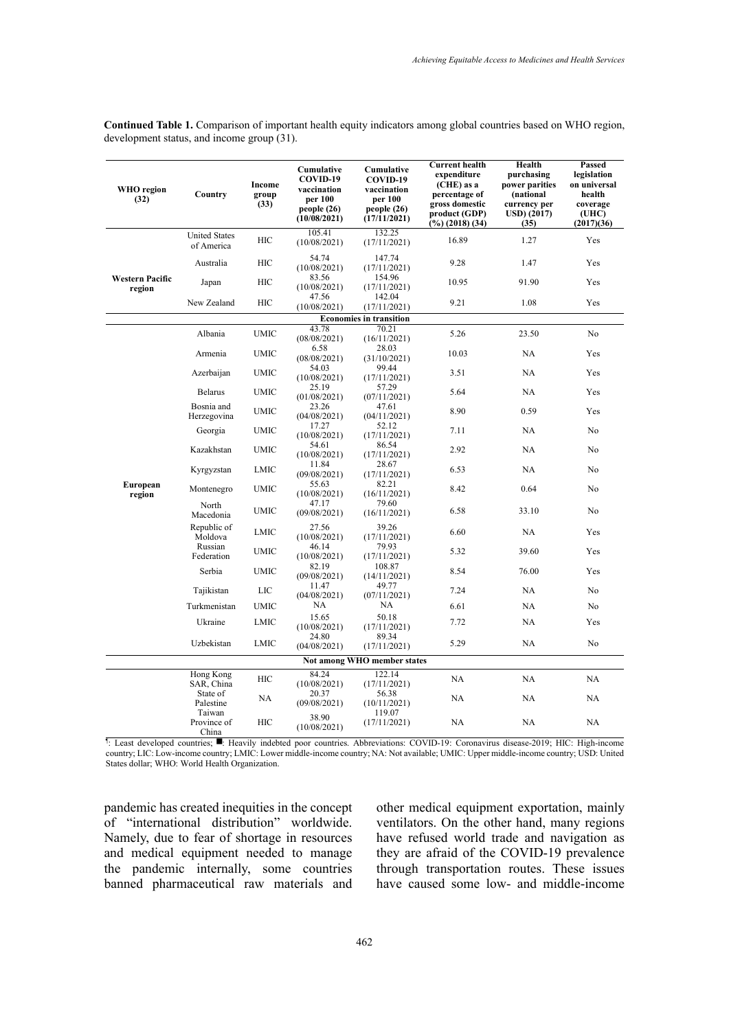| $(\%)(2018)(34)$<br>(35)<br>105.41<br>132.25<br><b>United States</b><br>HIC<br>16.89<br>1.27<br>(10/08/2021)<br>(17/11/2021)<br>of America<br>54.74<br>147.74<br>Australia<br>HIC<br>9.28<br>1.47<br>(10/08/2021)<br>(17/11/2021)<br>83.56<br>154.96<br><b>Western Pacific</b><br>HIC<br>10.95<br>91.90<br>Japan<br>(10/08/2021)<br>(17/11/2021)<br>region<br>47.56<br>142.04<br>New Zealand<br>HIC<br>9.21<br>1.08<br>(10/08/2021)<br>(17/11/2021)<br><b>Economies in transition</b><br>43.78<br>70.21<br>Albania<br><b>UMIC</b><br>5.26<br>23.50<br>(08/08/2021)<br>(16/11/2021)<br>6.58<br>28.03<br><b>UMIC</b><br>10.03<br>NA<br>Armenia<br>(08/08/2021)<br>(31/10/2021) | (2017)(36)<br>Yes<br>Yes<br>Yes<br>Yes<br>No<br>Yes<br>Yes<br>Yes |
|------------------------------------------------------------------------------------------------------------------------------------------------------------------------------------------------------------------------------------------------------------------------------------------------------------------------------------------------------------------------------------------------------------------------------------------------------------------------------------------------------------------------------------------------------------------------------------------------------------------------------------------------------------------------------|-------------------------------------------------------------------|
|                                                                                                                                                                                                                                                                                                                                                                                                                                                                                                                                                                                                                                                                              |                                                                   |
|                                                                                                                                                                                                                                                                                                                                                                                                                                                                                                                                                                                                                                                                              |                                                                   |
|                                                                                                                                                                                                                                                                                                                                                                                                                                                                                                                                                                                                                                                                              |                                                                   |
|                                                                                                                                                                                                                                                                                                                                                                                                                                                                                                                                                                                                                                                                              |                                                                   |
|                                                                                                                                                                                                                                                                                                                                                                                                                                                                                                                                                                                                                                                                              |                                                                   |
|                                                                                                                                                                                                                                                                                                                                                                                                                                                                                                                                                                                                                                                                              |                                                                   |
|                                                                                                                                                                                                                                                                                                                                                                                                                                                                                                                                                                                                                                                                              |                                                                   |
| 99.44<br>54.03<br>Azerbaijan<br><b>UMIC</b><br>3.51<br><b>NA</b><br>(10/08/2021)<br>(17/11/2021)                                                                                                                                                                                                                                                                                                                                                                                                                                                                                                                                                                             |                                                                   |
| 25.19<br>57.29<br><b>Belarus</b><br><b>UMIC</b><br>5.64<br>NA<br>(01/08/2021)<br>(07/11/2021)                                                                                                                                                                                                                                                                                                                                                                                                                                                                                                                                                                                |                                                                   |
| Bosnia and<br>23.26<br>47.61<br><b>UMIC</b><br>8.90<br>0.59<br>Herzegovina<br>(04/08/2021)<br>(04/11/2021)                                                                                                                                                                                                                                                                                                                                                                                                                                                                                                                                                                   | Yes                                                               |
| 17.27<br>52.12<br><b>UMIC</b><br>7.11<br>NA<br>Georgia<br>(10/08/2021)<br>(17/11/2021)                                                                                                                                                                                                                                                                                                                                                                                                                                                                                                                                                                                       | No                                                                |
| 54.61<br>86.54<br>Kazakhstan<br><b>UMIC</b><br>2.92<br>NA<br>(10/08/2021)<br>(17/11/2021)                                                                                                                                                                                                                                                                                                                                                                                                                                                                                                                                                                                    | No                                                                |
| 11.84<br>28.67<br>6.53<br>NA<br>Kyrgyzstan<br>LMIC<br>(09/08/2021)<br>(17/11/2021)                                                                                                                                                                                                                                                                                                                                                                                                                                                                                                                                                                                           | No                                                                |
| 55.63<br>82.21<br>European<br><b>UMIC</b><br>8.42<br>0.64<br>Montenegro<br>(10/08/2021)<br>(16/11/2021)<br>region                                                                                                                                                                                                                                                                                                                                                                                                                                                                                                                                                            | No                                                                |
| 47.17<br>79.60<br>North<br>6.58<br>UMIC<br>33.10<br>(09/08/2021)<br>(16/11/2021)<br>Macedonia                                                                                                                                                                                                                                                                                                                                                                                                                                                                                                                                                                                | No                                                                |
| Republic of<br>27.56<br>39.26<br><b>LMIC</b><br>6.60<br>NA<br>Moldova<br>(10/08/2021)<br>(17/11/2021)                                                                                                                                                                                                                                                                                                                                                                                                                                                                                                                                                                        | Yes                                                               |
| Russian<br>46.14<br>79.93<br><b>UMIC</b><br>5.32<br>39.60<br>Federation<br>(10/08/2021)<br>(17/11/2021)                                                                                                                                                                                                                                                                                                                                                                                                                                                                                                                                                                      | Yes                                                               |
| 82.19<br>108.87<br>Serbia<br><b>UMIC</b><br>8.54<br>76.00<br>(09/08/2021)<br>(14/11/2021)                                                                                                                                                                                                                                                                                                                                                                                                                                                                                                                                                                                    | Yes                                                               |
| 11.47<br>49.77<br>Tajikistan<br>LIC<br>7.24<br>NA<br>(04/08/2021)<br>(07/11/2021)                                                                                                                                                                                                                                                                                                                                                                                                                                                                                                                                                                                            | No                                                                |
| NA<br>NA<br>Turkmenistan<br><b>UMIC</b><br>NA<br>6.61                                                                                                                                                                                                                                                                                                                                                                                                                                                                                                                                                                                                                        | No                                                                |
| 15.65<br>50.18<br>Ukraine<br><b>LMIC</b><br>7.72<br>NA<br>(10/08/2021)<br>(17/11/2021)                                                                                                                                                                                                                                                                                                                                                                                                                                                                                                                                                                                       | Yes                                                               |
| 89.34<br>24.80<br>Uzbekistan<br>LMIC<br>5.29<br>NA<br>(04/08/2021)<br>(17/11/2021)                                                                                                                                                                                                                                                                                                                                                                                                                                                                                                                                                                                           | No                                                                |
| Not among WHO member states                                                                                                                                                                                                                                                                                                                                                                                                                                                                                                                                                                                                                                                  |                                                                   |
| 122.14<br>Hong Kong<br>84.24<br>HIC<br>NA<br>NA<br>SAR, China<br>(10/08/2021)<br>(17/11/2021)                                                                                                                                                                                                                                                                                                                                                                                                                                                                                                                                                                                | NA                                                                |
| State of<br>20.37<br>56.38<br>NA<br>NA<br>NA<br>Palestine<br>(09/08/2021)<br>(10/11/2021)                                                                                                                                                                                                                                                                                                                                                                                                                                                                                                                                                                                    | NA                                                                |
| Taiwan<br>119.07<br>38.90<br>HIC<br>NA<br>Province of<br>(17/11/2021)<br>NA<br>(10/08/2021)<br>China                                                                                                                                                                                                                                                                                                                                                                                                                                                                                                                                                                         | NA                                                                |

country; LIC: Low-income country; LMIC: Lower middle-income country; NA: Not available; UMIC: Upper middle-income country; USD: United States dollar; WHO: World Health Organization.

pandemic has created inequities in the concept of "international distribution" worldwide. Namely, due to fear of shortage in resources and medical equipment needed to manage the pandemic internally, some countries banned pharmaceutical raw materials and

other medical equipment exportation, mainly ventilators. On the other hand, many regions have refused world trade and navigation as they are afraid of the COVID-19 prevalence through transportation routes. These issues have caused some low- and middle-income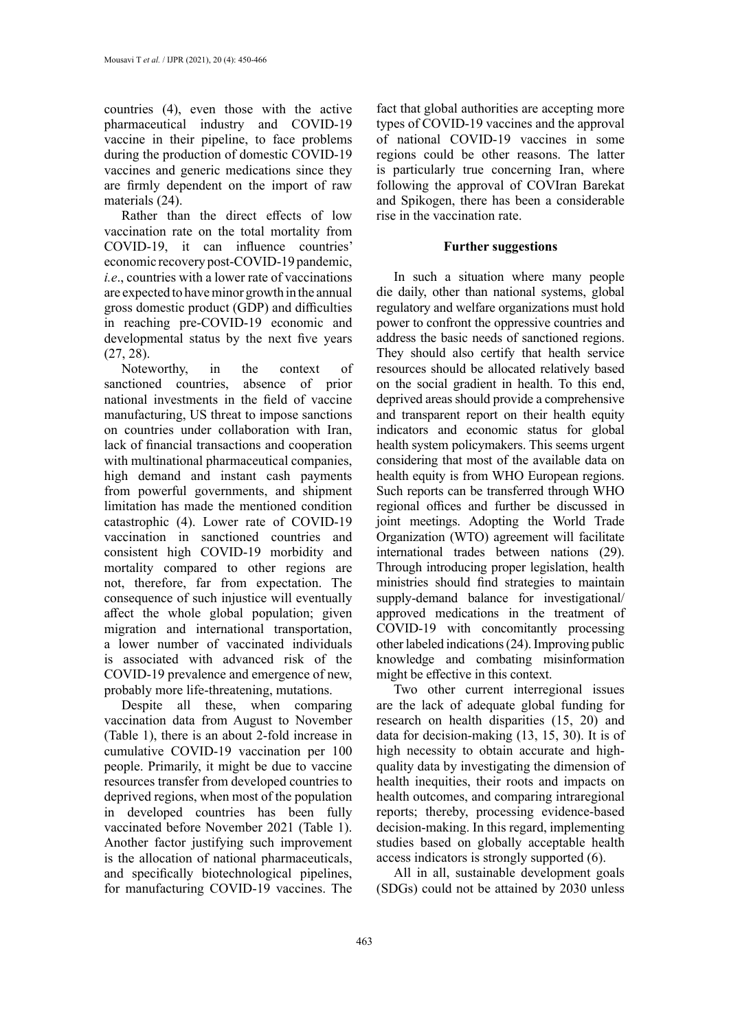countries (4), even those with the active pharmaceutical industry and COVID-19 vaccine in their pipeline, to face problems during the production of domestic COVID-19 vaccines and generic medications since they are firmly dependent on the import of raw materials (24).

Rather than the direct effects of low vaccination rate on the total mortality from COVID-19, it can influence countries' economic recovery post-COVID-19 pandemic, *i.e*., countries with a lower rate of vaccinations are expected to have minor growth in the annual gross domestic product (GDP) and difficulties in reaching pre-COVID-19 economic and developmental status by the next five years (27, 28).

Noteworthy, in the context of sanctioned countries, absence of prior national investments in the field of vaccine manufacturing, US threat to impose sanctions on countries under collaboration with Iran, lack of financial transactions and cooperation with multinational pharmaceutical companies, high demand and instant cash payments from powerful governments, and shipment limitation has made the mentioned condition catastrophic (4). Lower rate of COVID-19 vaccination in sanctioned countries and consistent high COVID-19 morbidity and mortality compared to other regions are not, therefore, far from expectation. The consequence of such injustice will eventually affect the whole global population; given migration and international transportation, a lower number of vaccinated individuals is associated with advanced risk of the COVID-19 prevalence and emergence of new, probably more life-threatening, mutations.

Despite all these, when comparing vaccination data from August to November (Table 1), there is an about 2-fold increase in cumulative COVID-19 vaccination per 100 people. Primarily, it might be due to vaccine resources transfer from developed countries to deprived regions, when most of the population in developed countries has been fully vaccinated before November 2021 (Table 1). Another factor justifying such improvement is the allocation of national pharmaceuticals, and specifically biotechnological pipelines, for manufacturing COVID-19 vaccines. The

fact that global authorities are accepting more types of COVID-19 vaccines and the approval of national COVID-19 vaccines in some regions could be other reasons. The latter is particularly true concerning Iran, where following the approval of COVIran Barekat and Spikogen, there has been a considerable rise in the vaccination rate.

## **Further suggestions**

In such a situation where many people die daily, other than national systems, global regulatory and welfare organizations must hold power to confront the oppressive countries and address the basic needs of sanctioned regions. They should also certify that health service resources should be allocated relatively based on the social gradient in health. To this end, deprived areas should provide a comprehensive and transparent report on their health equity indicators and economic status for global health system policymakers. This seems urgent considering that most of the available data on health equity is from WHO European regions. Such reports can be transferred through WHO regional offices and further be discussed in joint meetings. Adopting the World Trade Organization (WTO) agreement will facilitate international trades between nations (29). Through introducing proper legislation, health ministries should find strategies to maintain supply-demand balance for investigational/ approved medications in the treatment of COVID-19 with concomitantly processing other labeled indications (24). Improving public knowledge and combating misinformation might be effective in this context.

Two other current interregional issues are the lack of adequate global funding for research on health disparities (15, 20) and data for decision-making (13, 15, 30). It is of high necessity to obtain accurate and highquality data by investigating the dimension of health inequities, their roots and impacts on health outcomes, and comparing intraregional reports; thereby, processing evidence-based decision-making. In this regard, implementing studies based on globally acceptable health access indicators is strongly supported (6).

All in all, sustainable development goals (SDGs) could not be attained by 2030 unless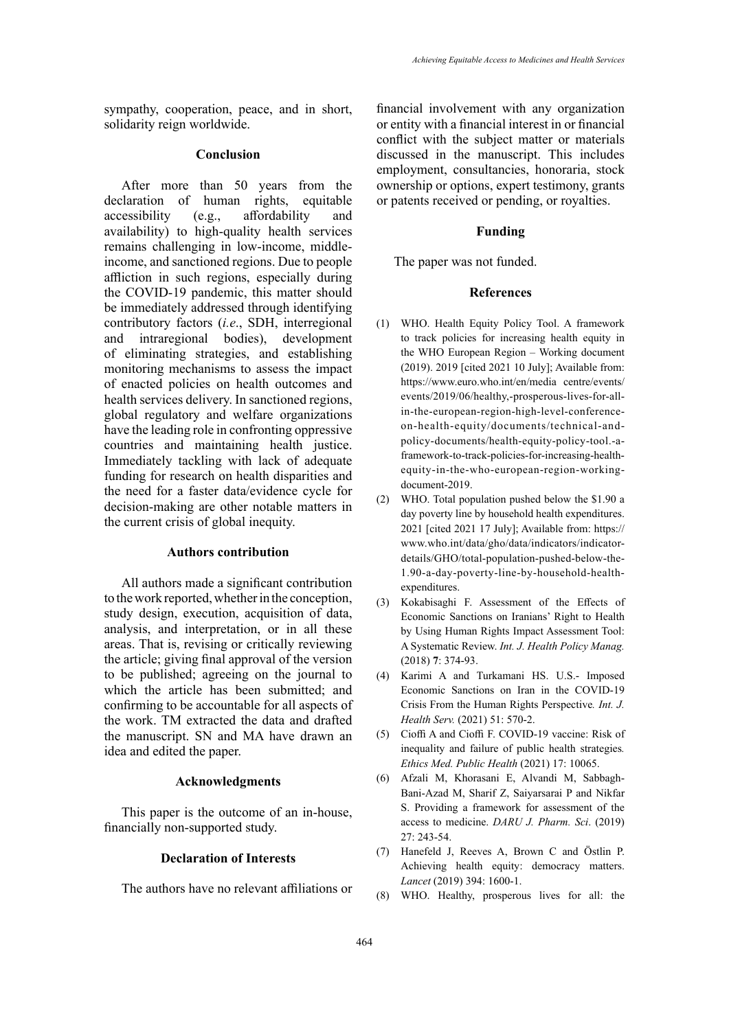sympathy, cooperation, peace, and in short, solidarity reign worldwide.

# **Conclusion**

After more than 50 years from the declaration of human rights, equitable accessibility (e.g., affordability and availability) to high-quality health services remains challenging in low-income, middleincome, and sanctioned regions. Due to people affliction in such regions, especially during the COVID-19 pandemic, this matter should be immediately addressed through identifying contributory factors (*i.e*., SDH, interregional and intraregional bodies), development of eliminating strategies, and establishing monitoring mechanisms to assess the impact of enacted policies on health outcomes and health services delivery. In sanctioned regions, global regulatory and welfare organizations have the leading role in confronting oppressive countries and maintaining health justice. Immediately tackling with lack of adequate funding for research on health disparities and the need for a faster data/evidence cycle for decision-making are other notable matters in the current crisis of global inequity.

#### **Authors contribution**

All authors made a significant contribution to the work reported, whether in the conception, study design, execution, acquisition of data, analysis, and interpretation, or in all these areas. That is, revising or critically reviewing the article; giving final approval of the version to be published; agreeing on the journal to which the article has been submitted; and confirming to be accountable for all aspects of the work. TM extracted the data and drafted the manuscript. SN and MA have drawn an idea and edited the paper.

#### **Acknowledgments**

This paper is the outcome of an in-house, financially non-supported study.

#### **Declaration of Interests**

The authors have no relevant affiliations or

financial involvement with any organization or entity with a financial interest in or financial conflict with the subject matter or materials discussed in the manuscript. This includes employment, consultancies, honoraria, stock ownership or options, expert testimony, grants or patents received or pending, or royalties.

## **Funding**

The paper was not funded.

## **References**

- (1) WHO. Health Equity Policy Tool. A framework to track policies for increasing health equity in the WHO European Region – Working document (2019). 2019 [cited 2021 10 July]; Available from: https://www.euro.who.int/en/media centre/events/ events/2019/06/healthy,-prosperous-lives-for-allin-the-european-region-high-level-conferenceon-health-equity/documents/technical-andpolicy-documents/health-equity-policy-tool.-aframework-to-track-policies-for-increasing-healthequity-in-the-who-european-region-workingdocument-2019.
- (2) WHO. Total population pushed below the \$1.90 a day poverty line by household health expenditures. 2021 [cited 2021 17 July]; Available from: https:// www.who.int/data/gho/data/indicators/indicatordetails/GHO/total-population-pushed-below-the-1.90-a-day-poverty-line-by-household-healthexpenditures.
- (3) Kokabisaghi F. Assessment of the Effects of Economic Sanctions on Iranians' Right to Health by Using Human Rights Impact Assessment Tool: A Systematic Review. *Int. J. Health Policy Manag.* (2018) **7**: 374-93.
- (4) Karimi A and Turkamani HS. U.S.- Imposed Economic Sanctions on Iran in the COVID-19 Crisis From the Human Rights Perspective*. Int. J. Health Serv.* (2021) 51: 570-2.
- (5) Cioffi A and Cioffi F. COVID-19 vaccine: Risk of inequality and failure of public health strategies*. Ethics Med. Public Health* (2021) 17: 10065.
- (6) Afzali M, Khorasani E, Alvandi M, Sabbagh-Bani-Azad M, Sharif Z, Saiyarsarai P and Nikfar S. Providing a framework for assessment of the access to medicine. *DARU J. Pharm. Sci*. (2019) 27: 243-54.
- (7) Hanefeld J, Reeves A, Brown C and Östlin P. Achieving health equity: democracy matters. *Lancet* (2019) 394: 1600-1.
- (8) WHO. Healthy, prosperous lives for all: the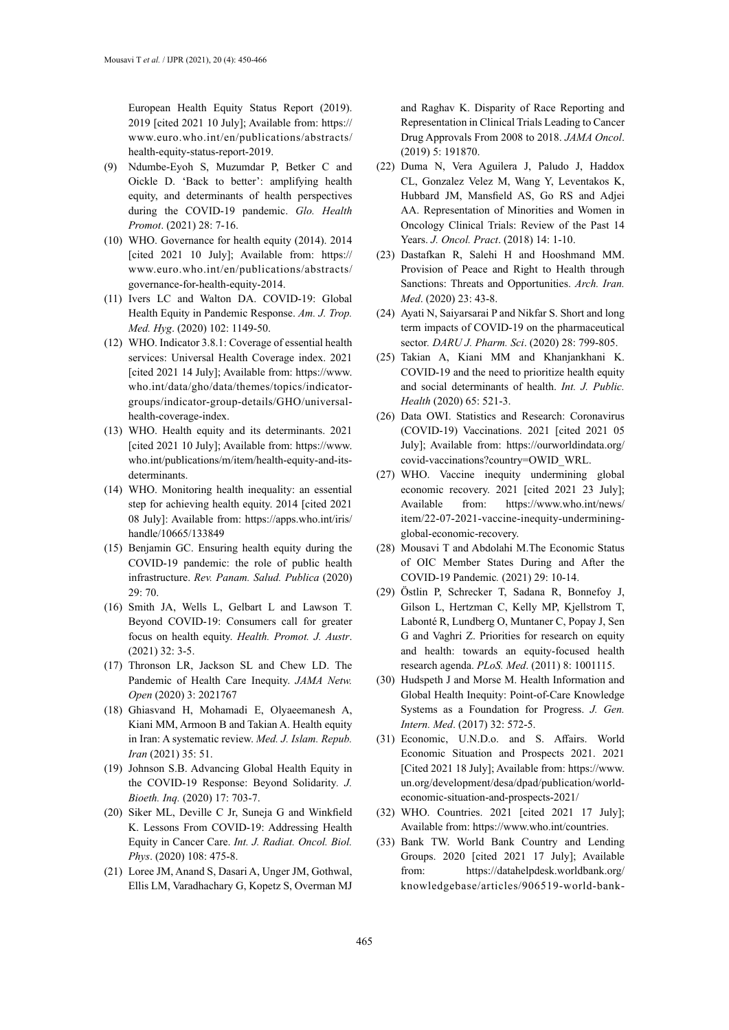European Health Equity Status Report (2019). 2019 [cited 2021 10 July]; Available from: https:// www.euro.who.int/en/publications/abstracts/ health-equity-status-report-2019.

- (9) Ndumbe-Eyoh S, Muzumdar P, Betker C and Oickle D. 'Back to better': amplifying health equity, and determinants of health perspectives during the COVID-19 pandemic. *Glo. Health Promot*. (2021) 28: 7-16.
- (10) WHO. Governance for health equity (2014). 2014 [cited 2021 10 July]; Available from: https:// www.euro.who.int/en/publications/abstracts/ governance-for-health-equity-2014.
- (11) Ivers LC and Walton DA. COVID-19: Global Health Equity in Pandemic Response. *Am. J. Trop. Med. Hyg*. (2020) 102: 1149-50.
- (12) WHO. Indicator 3.8.1: Coverage of essential health services: Universal Health Coverage index. 2021 [cited 2021 14 July]; Available from: https://www. who.int/data/gho/data/themes/topics/indicatorgroups/indicator-group-details/GHO/universalhealth-coverage-index.
- (13) WHO. Health equity and its determinants. 2021 [cited 2021 10 July]; Available from: https://www. who.int/publications/m/item/health-equity-and-itsdeterminants.
- (14) WHO. Monitoring health inequality: an essential step for achieving health equity. 2014 [cited 2021 08 July]: Available from: https://apps.who.int/iris/ handle/10665/133849
- (15) Benjamin GC. Ensuring health equity during the COVID-19 pandemic: the role of public health infrastructure. *Rev. Panam. Salud. Publica* (2020) 29: 70.
- (16) Smith JA, Wells L, Gelbart L and Lawson T. Beyond COVID-19: Consumers call for greater focus on health equity. *Health. Promot. J. Austr*. (2021) 32: 3-5.
- (17) Thronson LR, Jackson SL and Chew LD. The Pandemic of Health Care Inequity. *JAMA Netw. Open* (2020) 3: 2021767
- (18) Ghiasvand H, Mohamadi E, Olyaeemanesh A, Kiani MM, Armoon B and Takian A. Health equity in Iran: A systematic review. *Med. J. Islam. Repub. Iran* (2021) 35: 51.
- (19) Johnson S.B. Advancing Global Health Equity in the COVID-19 Response: Beyond Solidarity*. J. Bioeth. Inq.* (2020) 17: 703-7.
- (20) Siker ML, Deville C Jr, Suneja G and Winkfield K. Lessons From COVID-19: Addressing Health Equity in Cancer Care. *Int. J. Radiat. Oncol. Biol. Phys*. (2020) 108: 475-8.
- (21) Loree JM, Anand S, Dasari A, Unger JM, Gothwal, Ellis LM, Varadhachary G, Kopetz S, Overman MJ

and Raghav K. Disparity of Race Reporting and Representation in Clinical Trials Leading to Cancer Drug Approvals From 2008 to 2018. *JAMA Oncol*. (2019) 5: 191870.

- (22) Duma N, Vera Aguilera J, Paludo J, Haddox CL, Gonzalez Velez M, Wang Y, Leventakos K, Hubbard JM, Mansfield AS, Go RS and Adjei AA. Representation of Minorities and Women in Oncology Clinical Trials: Review of the Past 14 Years. *J. Oncol. Pract*. (2018) 14: 1-10.
- (23) Dastafkan R, Salehi H and Hooshmand MM. Provision of Peace and Right to Health through Sanctions: Threats and Opportunities. *Arch. Iran. Med*. (2020) 23: 43-8.
- (24) Ayati N, Saiyarsarai P and Nikfar S. Short and long term impacts of COVID-19 on the pharmaceutical sector*. DARU J. Pharm. Sci*. (2020) 28: 799-805.
- (25) Takian A, Kiani MM and Khanjankhani K. COVID-19 and the need to prioritize health equity and social determinants of health. *Int. J. Public. Health* (2020) 65: 521-3.
- (26) Data OWI. Statistics and Research: Coronavirus (COVID-19) Vaccinations. 2021 [cited 2021 05 July]; Available from: https://ourworldindata.org/ covid-vaccinations?country=OWID\_WRL.
- (27) WHO. Vaccine inequity undermining global economic recovery. 2021 [cited 2021 23 July]; Available from: https://www.who.int/news/ item/22-07-2021-vaccine-inequity-underminingglobal-economic-recovery.
- (28) Mousavi T and Abdolahi M.The Economic Status of OIC Member States During and After the COVID-19 Pandemic*.* (2021) 29: 10-14.
- (29) Östlin P, Schrecker T, Sadana R, Bonnefoy J, Gilson L, Hertzman C, Kelly MP, Kjellstrom T, Labonté R, Lundberg O, Muntaner C, Popay J, Sen G and Vaghri Z. Priorities for research on equity and health: towards an equity-focused health research agenda. *PLoS. Med*. (2011) 8: 1001115.
- (30) Hudspeth J and Morse M. Health Information and Global Health Inequity: Point-of-Care Knowledge Systems as a Foundation for Progress. *J. Gen. Intern. Med*. (2017) 32: 572-5.
- (31) Economic, U.N.D.o. and S. Affairs. World Economic Situation and Prospects 2021. 2021 [Cited 2021 18 July]; Available from: https://www. un.org/development/desa/dpad/publication/worldeconomic-situation-and-prospects-2021/
- (32) WHO. Countries. 2021 [cited 2021 17 July]; Available from: https://www.who.int/countries.
- (33) Bank TW. World Bank Country and Lending Groups. 2020 [cited 2021 17 July]; Available from: https://datahelpdesk.worldbank.org/ knowledgebase/articles/906519-world-bank-